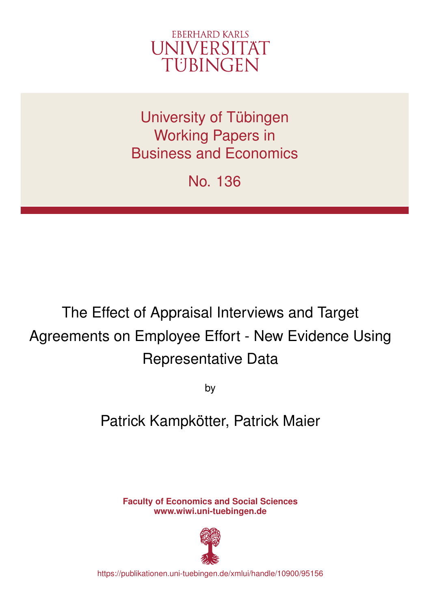

University of Tübingen Working Papers in Business and Economics

No. 136

# The Effect of Appraisal Interviews and Target Agreements on Employee Effort - New Evidence Using Representative Data

by

## Patrick Kampkötter, Patrick Maier

**Faculty of Economics and Social Sciences www.wiwi.uni-tuebingen.de**



https://publikationen.uni-tuebingen.de/xmlui/handle/10900/95156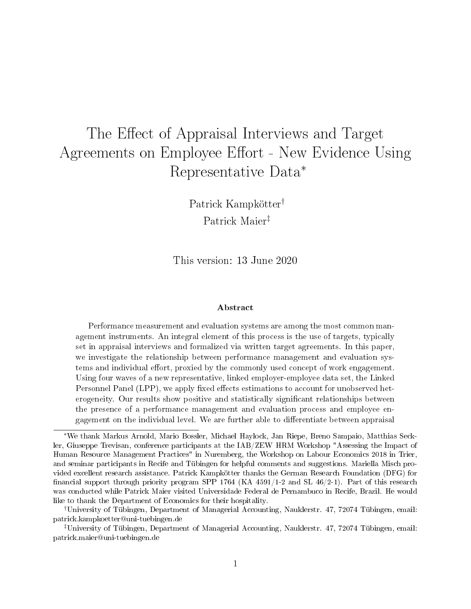## The Effect of Appraisal Interviews and Target Agreements on Employee Effort - New Evidence Using Representative Data<sup>∗</sup>

Patrick Kampkötter† Patrick Maier‡

This version: 13 June 2020

#### Abstract

Performance measurement and evaluation systems are among the most common management instruments. An integral element of this process is the use of targets, typically set in appraisal interviews and formalized via written target agreements. In this paper, we investigate the relationship between performance management and evaluation systems and individual effort, proxied by the commonly used concept of work engagement. Using four waves of a new representative, linked employer-employee data set, the Linked Personnel Panel (LPP), we apply fixed effects estimations to account for unobserved heterogeneity. Our results show positive and statistically significant relationships between the presence of a performance management and evaluation process and employee engagement on the individual level. We are further able to differentiate between appraisal

<sup>∗</sup>We thank Markus Arnold, Mario Bossler, Michael Haylock, Jan Riepe, Breno Sampaio, Matthias Seckler, Giuseppe Trevisan, conference participants at the IAB/ZEW HRM Workshop "Assessing the Impact of Human Resource Management Practices" in Nuremberg, the Workshop on Labour Economics 2018 in Trier, and seminar participants in Recife and Tübingen for helpful comments and suggestions. Mariella Misch provided excellent research assistance. Patrick Kampkötter thanks the German Research Foundation (DFG) for financial support through priority program SPP 1764 (KA  $4591/1$ -2 and SL  $46/2$ -1). Part of this research was conducted while Patrick Maier visited Universidade Federal de Pernambuco in Recife, Brazil. He would like to thank the Department of Economics for their hospitality.

<sup>†</sup>University of Tübingen, Department of Managerial Accounting, Nauklerstr. 47, 72074 Tübingen, email: patrick.kampkoetter@uni-tuebingen.de

<sup>‡</sup>University of Tübingen, Department of Managerial Accounting, Nauklerstr. 47, 72074 Tübingen, email: patrick.maier@uni-tuebingen.de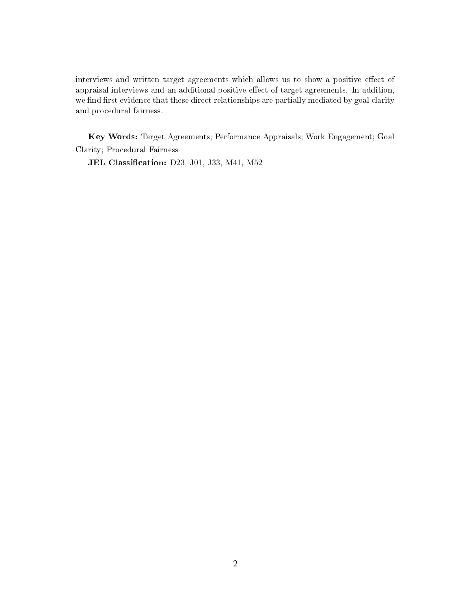interviews and written target agreements which allows us to show a positive effect of appraisal interviews and an additional positive effect of target agreements. In addition, we find first evidence that these direct relationships are partially mediated by goal clarity and procedural fairness.

Key Words: Target Agreements; Performance Appraisals; Work Engagement; Goal Clarity; Procedural Fairness

JEL Classification: D23, J01, J33, M41, M52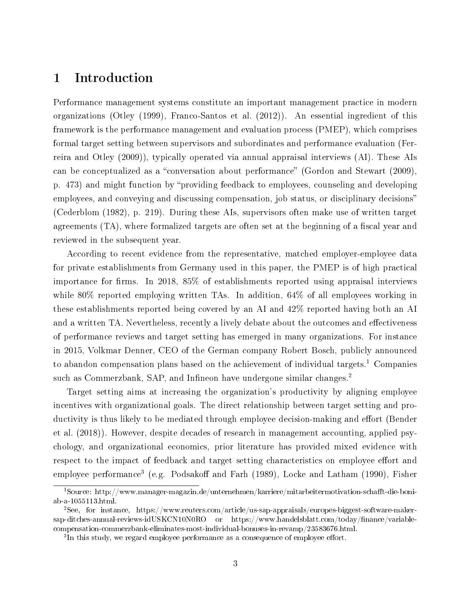### 1 Introduction

Performance management systems constitute an important management practice in modern organizations (Otley (1999), Franco-Santos et al. (2012)). An essential ingredient of this framework is the performance management and evaluation process (PMEP), which comprises formal target setting between supervisors and subordinates and performance evaluation (Ferreira and Otley (2009)), typically operated via annual appraisal interviews (AI). These AIs can be conceptualized as a "conversation about performance" (Gordon and Stewart (2009), p. 473) and might function by "providing feedback to employees, counseling and developing employees, and conveying and discussing compensation, job status, or disciplinary decisions (Cederblom (1982), p. 219). During these AIs, supervisors often make use of written target agreements (TA), where formalized targets are often set at the beginning of a fiscal year and reviewed in the subsequent year.

According to recent evidence from the representative, matched employer-employee data for private establishments from Germany used in this paper, the PMEP is of high practical importance for firms. In 2018, 85% of establishments reported using appraisal interviews while 80% reported employing written TAs. In addition, 64% of all employees working in these establishments reported being covered by an AI and 42% reported having both an AI and a written TA. Nevertheless, recently a lively debate about the outcomes and effectiveness of performance reviews and target setting has emerged in many organizations. For instance in 2015, Volkmar Denner, CEO of the German company Robert Bosch, publicly announced to abandon compensation plans based on the achievement of individual targets.<sup>1</sup> Companies such as Commerzbank, SAP, and Infineon have undergone similar changes.<sup>2</sup>

Target setting aims at increasing the organization's productivity by aligning employee incentives with organizational goals. The direct relationship between target setting and productivity is thus likely to be mediated through employee decision-making and effort (Bender et al. (2018)). However, despite decades of research in management accounting, applied psychology, and organizational economics, prior literature has provided mixed evidence with respect to the impact of feedback and target setting characteristics on employee effort and employee performance<sup>3</sup> (e.g. Podsakoff and Farh (1989), Locke and Latham (1990), Fisher

 $1$ Source: http://www.manager-magazin.de/unternehmen/karriere/mitarbeitermotivation-schafft-die-boniab-a-1055113.html.

<sup>2</sup>See, for instance, https://www.reuters.com/article/us-sap-appraisals/europes-biggest-software-makersap-ditches-annual-reviews-idUSKCN10N0RO or https://www.handelsblatt.com/today/finance/variablecompensation-commerzbank-eliminates-most-individual-bonuses-in-revamp/23583676.html.

 ${}^{3}$ In this study, we regard employee performance as a consequence of employee effort.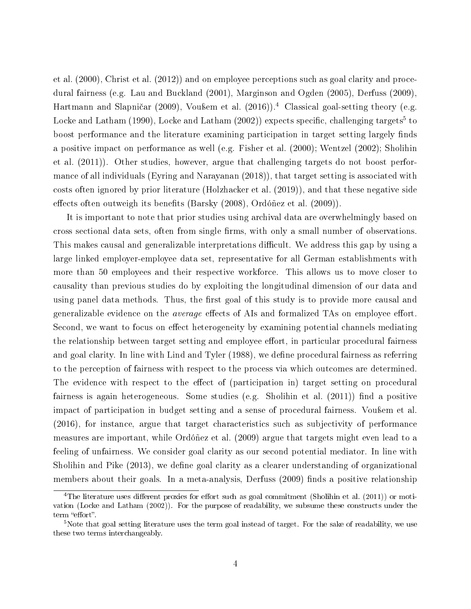et al. (2000), Christ et al. (2012)) and on employee perceptions such as goal clarity and procedural fairness (e.g. Lau and Buckland (2001), Marginson and Ogden (2005), Derfuss (2009), Hartmann and Slapničar (2009), Vou $\ell$ em et al. (2016)).<sup>4</sup> Classical goal-setting theory (e.g. Locke and Latham (1990), Locke and Latham  $(2002)$ ) expects specific, challenging targets $^5$  to boost performance and the literature examining participation in target setting largely finds a positive impact on performance as well (e.g. Fisher et al. (2000); Wentzel (2002); Sholihin et al. (2011)). Other studies, however, argue that challenging targets do not boost performance of all individuals (Eyring and Narayanan (2018)), that target setting is associated with costs often ignored by prior literature (Holzhacker et al. (2019)), and that these negative side effects often outweigh its benefits (Barsky (2008), Ordóñez et al. (2009)).

It is important to note that prior studies using archival data are overwhelmingly based on cross sectional data sets, often from single firms, with only a small number of observations. This makes causal and generalizable interpretations difficult. We address this gap by using a large linked employer-employee data set, representative for all German establishments with more than 50 employees and their respective workforce. This allows us to move closer to causality than previous studies do by exploiting the longitudinal dimension of our data and using panel data methods. Thus, the first goal of this study is to provide more causal and generalizable evidence on the *average* effects of AIs and formalized TAs on employee effort. Second, we want to focus on effect heterogeneity by examining potential channels mediating the relationship between target setting and employee effort, in particular procedural fairness and goal clarity. In line with Lind and Tyler (1988), we define procedural fairness as referring to the perception of fairness with respect to the process via which outcomes are determined. The evidence with respect to the effect of (participation in) target setting on procedural fairness is again heterogeneous. Some studies (e.g. Sholihin et al. (2011)) find a positive impact of participation in budget setting and a sense of procedural fairness. Vou flem et al. (2016), for instance, argue that target characteristics such as subjectivity of performance measures are important, while Ordóñez et al. (2009) argue that targets might even lead to a feeling of unfairness. We consider goal clarity as our second potential mediator. In line with Sholihin and Pike (2013), we define goal clarity as a clearer understanding of organizational members about their goals. In a meta-analysis, Derfuss (2009) finds a positive relationship

<sup>&</sup>lt;sup>4</sup>The literature uses different proxies for effort such as goal commitment (Sholihin et al. (2011)) or motivation (Locke and Latham (2002)). For the purpose of readability, we subsume these constructs under the term "effort".

<sup>&</sup>lt;sup>5</sup>Note that goal setting literature uses the term goal instead of target. For the sake of readability, we use these two terms interchangeably.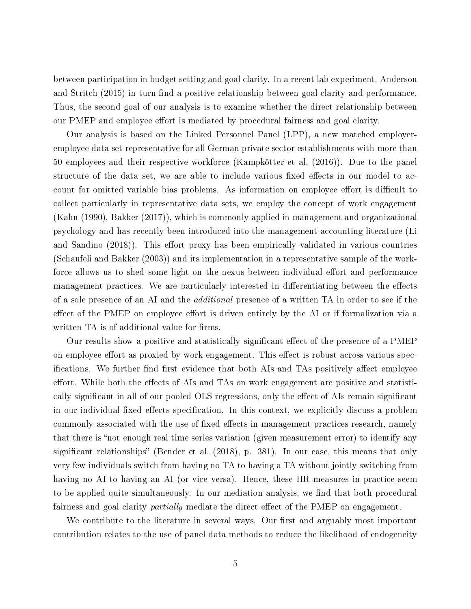between participation in budget setting and goal clarity. In a recent lab experiment, Anderson and Stritch (2015) in turn find a positive relationship between goal clarity and performance. Thus, the second goal of our analysis is to examine whether the direct relationship between our PMEP and employee effort is mediated by procedural fairness and goal clarity.

Our analysis is based on the Linked Personnel Panel (LPP), a new matched employeremployee data set representative for all German private sector establishments with more than 50 employees and their respective workforce (Kampkötter et al. (2016)). Due to the panel structure of the data set, we are able to include various fixed effects in our model to account for omitted variable bias problems. As information on employee effort is difficult to collect particularly in representative data sets, we employ the concept of work engagement (Kahn (1990), Bakker (2017)), which is commonly applied in management and organizational psychology and has recently been introduced into the management accounting literature (Li and Sandino (2018)). This effort proxy has been empirically validated in various countries (Schaufeli and Bakker (2003)) and its implementation in a representative sample of the workforce allows us to shed some light on the nexus between individual effort and performance management practices. We are particularly interested in differentiating between the effects of a sole presence of an AI and the *additional* presence of a written TA in order to see if the effect of the PMEP on employee effort is driven entirely by the AI or if formalization via a written TA is of additional value for firms.

Our results show a positive and statistically significant effect of the presence of a PMEP on employee effort as proxied by work engagement. This effect is robust across various specifications. We further find first evidence that both AIs and TAs positively affect employee effort. While both the effects of AIs and TAs on work engagement are positive and statistically significant in all of our pooled OLS regressions, only the effect of AIs remain significant in our individual fixed effects specification. In this context, we explicitly discuss a problem commonly associated with the use of fixed effects in management practices research, namely that there is "not enough real time series variation (given measurement error) to identify any significant relationships" (Bender et al.  $(2018)$ , p. 381). In our case, this means that only very few individuals switch from having no TA to having a TA without jointly switching from having no AI to having an AI (or vice versa). Hence, these HR measures in practice seem to be applied quite simultaneously. In our mediation analysis, we find that both procedural fairness and goal clarity *partially* mediate the direct effect of the PMEP on engagement.

We contribute to the literature in several ways. Our first and arguably most important contribution relates to the use of panel data methods to reduce the likelihood of endogeneity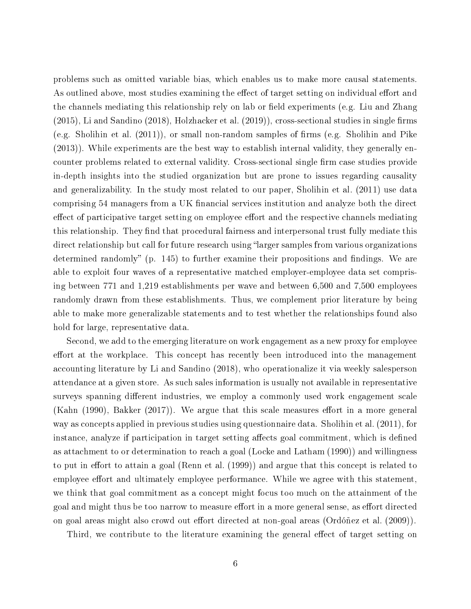problems such as omitted variable bias, which enables us to make more causal statements. As outlined above, most studies examining the effect of target setting on individual effort and the channels mediating this relationship rely on lab or field experiments (e.g. Liu and Zhang  $(2015)$ , Li and Sandino  $(2018)$ , Holzhacker et al.  $(2019)$ ), cross-sectional studies in single firms (e.g. Sholihin et al.  $(2011)$ ), or small non-random samples of firms (e.g. Sholihin and Pike (2013)). While experiments are the best way to establish internal validity, they generally encounter problems related to external validity. Cross-sectional single firm case studies provide in-depth insights into the studied organization but are prone to issues regarding causality and generalizability. In the study most related to our paper, Sholihin et al. (2011) use data comprising 54 managers from a UK financial services institution and analyze both the direct effect of participative target setting on employee effort and the respective channels mediating this relationship. They find that procedural fairness and interpersonal trust fully mediate this direct relationship but call for future research using "larger samples from various organizations determined randomly" (p. 145) to further examine their propositions and findings. We are able to exploit four waves of a representative matched employer-employee data set comprising between 771 and 1,219 establishments per wave and between 6,500 and 7,500 employees randomly drawn from these establishments. Thus, we complement prior literature by being able to make more generalizable statements and to test whether the relationships found also hold for large, representative data.

Second, we add to the emerging literature on work engagement as a new proxy for employee effort at the workplace. This concept has recently been introduced into the management accounting literature by Li and Sandino (2018), who operationalize it via weekly salesperson attendance at a given store. As such sales information is usually not available in representative surveys spanning different industries, we employ a commonly used work engagement scale (Kahn  $(1990)$ , Bakker  $(2017)$ ). We argue that this scale measures effort in a more general way as concepts applied in previous studies using questionnaire data. Sholihin et al. (2011), for instance, analyze if participation in target setting affects goal commitment, which is defined as attachment to or determination to reach a goal (Locke and Latham (1990)) and willingness to put in effort to attain a goal (Renn et al.  $(1999)$ ) and argue that this concept is related to employee effort and ultimately employee performance. While we agree with this statement, we think that goal commitment as a concept might focus too much on the attainment of the goal and might thus be too narrow to measure effort in a more general sense, as effort directed on goal areas might also crowd out effort directed at non-goal areas (Ordóñez et al. (2009)).

Third, we contribute to the literature examining the general effect of target setting on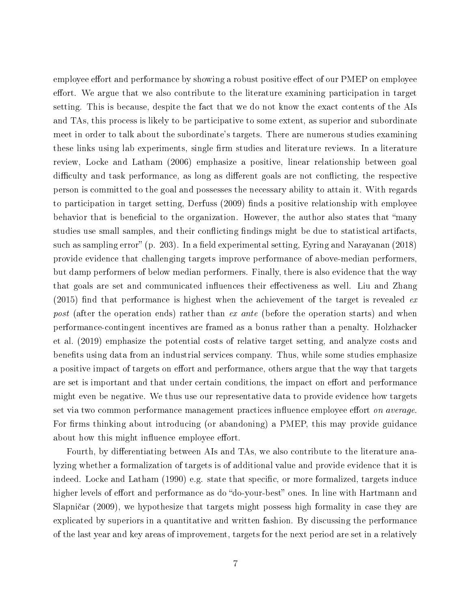employee effort and performance by showing a robust positive effect of our PMEP on employee effort. We argue that we also contribute to the literature examining participation in target setting. This is because, despite the fact that we do not know the exact contents of the AIs and TAs, this process is likely to be participative to some extent, as superior and subordinate meet in order to talk about the subordinate's targets. There are numerous studies examining these links using lab experiments, single firm studies and literature reviews. In a literature review, Locke and Latham (2006) emphasize a positive, linear relationship between goal difficulty and task performance, as long as different goals are not conflicting, the respective person is committed to the goal and possesses the necessary ability to attain it. With regards to participation in target setting, Derfuss  $(2009)$  finds a positive relationship with employee behavior that is beneficial to the organization. However, the author also states that "many studies use small samples, and their conflicting findings might be due to statistical artifacts. such as sampling error" (p. 203). In a field experimental setting, Eyring and Narayanan (2018) provide evidence that challenging targets improve performance of above-median performers, but damp performers of below median performers. Finally, there is also evidence that the way that goals are set and communicated influences their effectiveness as well. Liu and Zhang (2015) find that performance is highest when the achievement of the target is revealed  $ex$ post (after the operation ends) rather than ex ante (before the operation starts) and when performance-contingent incentives are framed as a bonus rather than a penalty. Holzhacker et al. (2019) emphasize the potential costs of relative target setting, and analyze costs and benefits using data from an industrial services company. Thus, while some studies emphasize a positive impact of targets on effort and performance, others argue that the way that targets are set is important and that under certain conditions, the impact on effort and performance might even be negative. We thus use our representative data to provide evidence how targets set via two common performance management practices influence employee effort on average. For firms thinking about introducing (or abandoning) a PMEP, this may provide guidance about how this might influence employee effort.

Fourth, by differentiating between AIs and TAs, we also contribute to the literature analyzing whether a formalization of targets is of additional value and provide evidence that it is indeed. Locke and Latham  $(1990)$  e.g. state that specific, or more formalized, targets induce higher levels of effort and performance as do "do-your-best" ones. In line with Hartmann and Slapničar (2009), we hypothesize that targets might possess high formality in case they are explicated by superiors in a quantitative and written fashion. By discussing the performance of the last year and key areas of improvement, targets for the next period are set in a relatively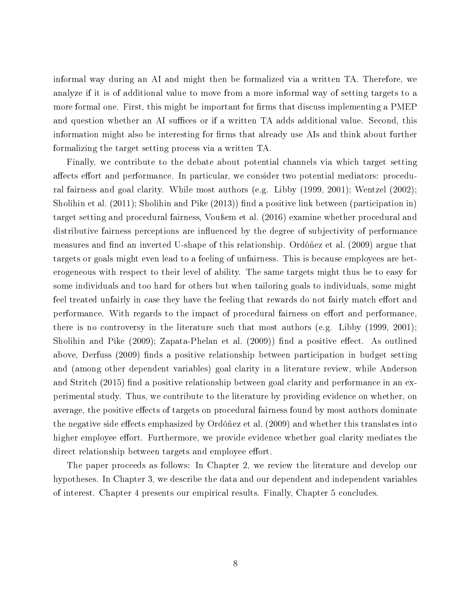informal way during an AI and might then be formalized via a written TA. Therefore, we analyze if it is of additional value to move from a more informal way of setting targets to a more formal one. First, this might be important for firms that discuss implementing a PMEP and question whether an AI suffices or if a written TA adds additional value. Second, this information might also be interesting for firms that already use AIs and think about further formalizing the target setting process via a written TA.

Finally, we contribute to the debate about potential channels via which target setting affects effort and performance. In particular, we consider two potential mediators: procedural fairness and goal clarity. While most authors (e.g. Libby (1999, 2001); Wentzel (2002); Sholihin et al.  $(2011)$ ; Sholihin and Pike  $(2013)$ ) find a positive link between (participation in) target setting and procedural fairness, Vou<sub>bemetral</sub> (2016) examine whether procedural and distributive fairness perceptions are influenced by the degree of subjectivity of performance measures and find an inverted U-shape of this relationship. Ordóñez et al. (2009) argue that targets or goals might even lead to a feeling of unfairness. This is because employees are heterogeneous with respect to their level of ability. The same targets might thus be to easy for some individuals and too hard for others but when tailoring goals to individuals, some might feel treated unfairly in case they have the feeling that rewards do not fairly match effort and performance. With regards to the impact of procedural fairness on effort and performance, there is no controversy in the literature such that most authors (e.g. Libby (1999, 2001); Sholihin and Pike  $(2009)$ ; Zapata-Phelan et al.  $(2009)$ ) find a positive effect. As outlined above, Derfuss (2009) finds a positive relationship between participation in budget setting and (among other dependent variables) goal clarity in a literature review, while Anderson and Stritch  $(2015)$  find a positive relationship between goal clarity and performance in an experimental study. Thus, we contribute to the literature by providing evidence on whether, on average, the positive effects of targets on procedural fairness found by most authors dominate the negative side effects emphasized by Ordóñez et al. (2009) and whether this translates into higher employee effort. Furthermore, we provide evidence whether goal clarity mediates the direct relationship between targets and employee effort.

The paper proceeds as follows: In Chapter 2, we review the literature and develop our hypotheses. In Chapter 3, we describe the data and our dependent and independent variables of interest. Chapter 4 presents our empirical results. Finally, Chapter 5 concludes.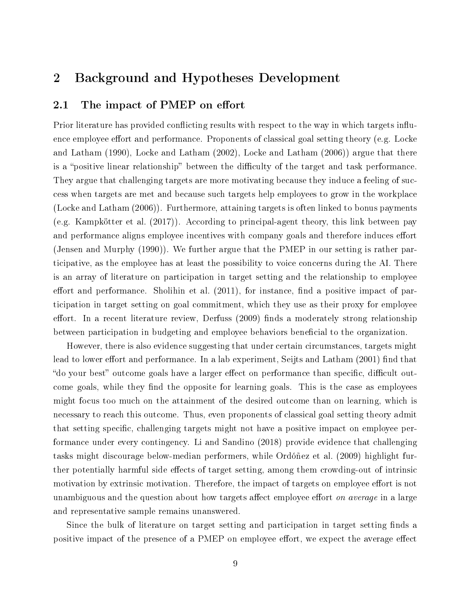## 2 Background and Hypotheses Development

#### 2.1 The impact of PMEP on effort

Prior literature has provided conflicting results with respect to the way in which targets influence employee effort and performance. Proponents of classical goal setting theory (e.g. Locke and Latham (1990), Locke and Latham (2002), Locke and Latham (2006)) argue that there is a "positive linear relationship" between the difficulty of the target and task performance. They argue that challenging targets are more motivating because they induce a feeling of success when targets are met and because such targets help employees to grow in the workplace (Locke and Latham (2006)). Furthermore, attaining targets is often linked to bonus payments (e.g. Kampkötter et al. (2017)). According to principal-agent theory, this link between pay and performance aligns employee incentives with company goals and therefore induces effort (Jensen and Murphy (1990)). We further argue that the PMEP in our setting is rather participative, as the employee has at least the possibility to voice concerns during the AI. There is an array of literature on participation in target setting and the relationship to employee effort and performance. Sholihin et al.  $(2011)$ , for instance, find a positive impact of participation in target setting on goal commitment, which they use as their proxy for employee effort. In a recent literature review, Derfuss  $(2009)$  finds a moderately strong relationship between participation in budgeting and employee behaviors beneficial to the organization.

However, there is also evidence suggesting that under certain circumstances, targets might lead to lower effort and performance. In a lab experiment, Seijts and Latham (2001) find that "do your best" outcome goals have a larger effect on performance than specific, difficult outcome goals, while they find the opposite for learning goals. This is the case as employees might focus too much on the attainment of the desired outcome than on learning, which is necessary to reach this outcome. Thus, even proponents of classical goal setting theory admit that setting specific, challenging targets might not have a positive impact on employee performance under every contingency. Li and Sandino (2018) provide evidence that challenging tasks might discourage below-median performers, while Ordóñez et al. (2009) highlight further potentially harmful side effects of target setting, among them crowding-out of intrinsic motivation by extrinsic motivation. Therefore, the impact of targets on employee effort is not unambiguous and the question about how targets affect employee effort on average in a large and representative sample remains unanswered.

Since the bulk of literature on target setting and participation in target setting finds a positive impact of the presence of a PMEP on employee effort, we expect the average effect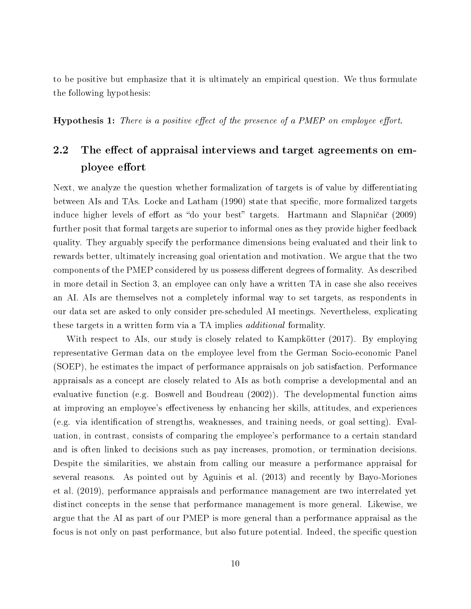to be positive but emphasize that it is ultimately an empirical question. We thus formulate the following hypothesis:

**Hypothesis 1:** There is a positive effect of the presence of a PMEP on employee effort.

### 2.2 The effect of appraisal interviews and target agreements on employee effort

Next, we analyze the question whether formalization of targets is of value by differentiating between AIs and TAs. Locke and Latham (1990) state that specific, more formalized targets induce higher levels of effort as "do your best" targets. Hartmann and Slapničar (2009) further posit that formal targets are superior to informal ones as they provide higher feedback quality. They arguably specify the performance dimensions being evaluated and their link to rewards better, ultimately increasing goal orientation and motivation. We argue that the two components of the PMEP considered by us possess different degrees of formality. As described in more detail in Section 3, an employee can only have a written TA in case she also receives an AI. AIs are themselves not a completely informal way to set targets, as respondents in our data set are asked to only consider pre-scheduled AI meetings. Nevertheless, explicating these targets in a written form via a TA implies additional formality.

With respect to AIs, our study is closely related to Kampkötter (2017). By employing representative German data on the employee level from the German Socio-economic Panel (SOEP), he estimates the impact of performance appraisals on job satisfaction. Performance appraisals as a concept are closely related to AIs as both comprise a developmental and an evaluative function (e.g. Boswell and Boudreau (2002)). The developmental function aims at improving an employee's effectiveness by enhancing her skills, attitudes, and experiences  $(e.g.$  via identification of strengths, weaknesses, and training needs, or goal setting). Evaluation, in contrast, consists of comparing the employee's performance to a certain standard and is often linked to decisions such as pay increases, promotion, or termination decisions. Despite the similarities, we abstain from calling our measure a performance appraisal for several reasons. As pointed out by Aguinis et al. (2013) and recently by Bayo-Moriones et al. (2019), performance appraisals and performance management are two interrelated yet distinct concepts in the sense that performance management is more general. Likewise, we argue that the AI as part of our PMEP is more general than a performance appraisal as the focus is not only on past performance, but also future potential. Indeed, the specific question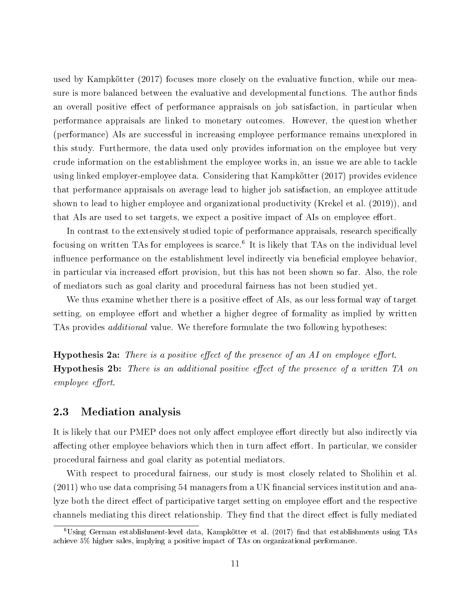used by Kampkötter (2017) focuses more closely on the evaluative function, while our measure is more balanced between the evaluative and developmental functions. The author finds an overall positive effect of performance appraisals on job satisfaction, in particular when performance appraisals are linked to monetary outcomes. However, the question whether (performance) AIs are successful in increasing employee performance remains unexplored in this study. Furthermore, the data used only provides information on the employee but very crude information on the establishment the employee works in, an issue we are able to tackle using linked employer-employee data. Considering that Kampkötter (2017) provides evidence that performance appraisals on average lead to higher job satisfaction, an employee attitude shown to lead to higher employee and organizational productivity (Krekel et al. (2019)), and that AIs are used to set targets, we expect a positive impact of AIs on employee effort.

In contrast to the extensively studied topic of performance appraisals, research specifically focusing on written TAs for employees is scarce.<sup>6</sup> It is likely that TAs on the individual level influence performance on the establishment level indirectly via beneficial employee behavior, in particular via increased effort provision, but this has not been shown so far. Also, the role of mediators such as goal clarity and procedural fairness has not been studied yet.

We thus examine whether there is a positive effect of AIs, as our less formal way of target setting, on employee effort and whether a higher degree of formality as implied by written TAs provides *additional* value. We therefore formulate the two following hypotheses:

**Hypothesis 2a:** There is a positive effect of the presence of an  $AI$  on employee effort. **Hypothesis 2b:** There is an additional positive effect of the presence of a written  $TA$  on employee effort.

#### 2.3 Mediation analysis

It is likely that our PMEP does not only affect employee effort directly but also indirectly via affecting other employee behaviors which then in turn affect effort. In particular, we consider procedural fairness and goal clarity as potential mediators.

With respect to procedural fairness, our study is most closely related to Sholihin et al.  $(2011)$  who use data comprising 54 managers from a UK financial services institution and analyze both the direct effect of participative target setting on employee effort and the respective channels mediating this direct relationship. They find that the direct effect is fully mediated

 ${}^{6}$ Using German establishment-level data, Kampkötter et al. (2017) find that establishments using TAs achieve 5% higher sales, implying a positive impact of TAs on organizational performance.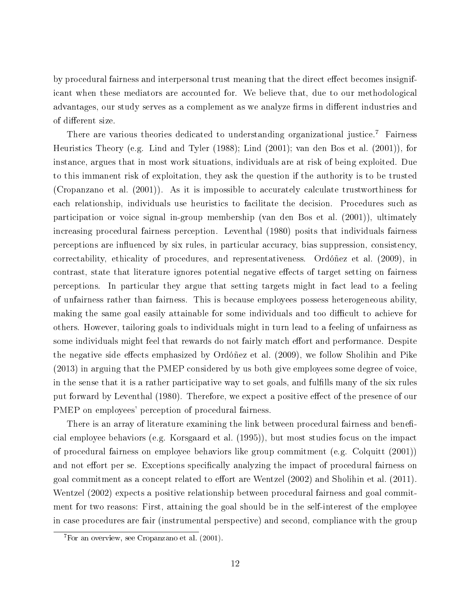by procedural fairness and interpersonal trust meaning that the direct effect becomes insignificant when these mediators are accounted for. We believe that, due to our methodological advantages, our study serves as a complement as we analyze firms in different industries and of different size.

There are various theories dedicated to understanding organizational justice.<sup>7</sup> Fairness Heuristics Theory (e.g. Lind and Tyler (1988); Lind (2001); van den Bos et al. (2001)), for instance, argues that in most work situations, individuals are at risk of being exploited. Due to this immanent risk of exploitation, they ask the question if the authority is to be trusted (Cropanzano et al. (2001)). As it is impossible to accurately calculate trustworthiness for each relationship, individuals use heuristics to facilitate the decision. Procedures such as participation or voice signal in-group membership (van den Bos et al. (2001)), ultimately increasing procedural fairness perception. Leventhal (1980) posits that individuals fairness perceptions are influenced by six rules, in particular accuracy, bias suppression, consistency, correctability, ethicality of procedures, and representativeness. Ordóñez et al. (2009), in contrast, state that literature ignores potential negative effects of target setting on fairness perceptions. In particular they argue that setting targets might in fact lead to a feeling of unfairness rather than fairness. This is because employees possess heterogeneous ability, making the same goal easily attainable for some individuals and too difficult to achieve for others. However, tailoring goals to individuals might in turn lead to a feeling of unfairness as some individuals might feel that rewards do not fairly match effort and performance. Despite the negative side effects emphasized by Ordóñez et al. (2009), we follow Sholihin and Pike (2013) in arguing that the PMEP considered by us both give employees some degree of voice, in the sense that it is a rather participative way to set goals, and fullls many of the six rules put forward by Leventhal (1980). Therefore, we expect a positive effect of the presence of our PMEP on employees' perception of procedural fairness.

There is an array of literature examining the link between procedural fairness and beneficial employee behaviors (e.g. Korsgaard et al. (1995)), but most studies focus on the impact of procedural fairness on employee behaviors like group commitment (e.g. Colquitt (2001)) and not effort per se. Exceptions specifically analyzing the impact of procedural fairness on goal commitment as a concept related to effort are Wentzel  $(2002)$  and Sholihin et al.  $(2011)$ . Wentzel (2002) expects a positive relationship between procedural fairness and goal commitment for two reasons: First, attaining the goal should be in the self-interest of the employee in case procedures are fair (instrumental perspective) and second, compliance with the group

 ${}^{7}$ For an overview, see Cropanzano et al. (2001).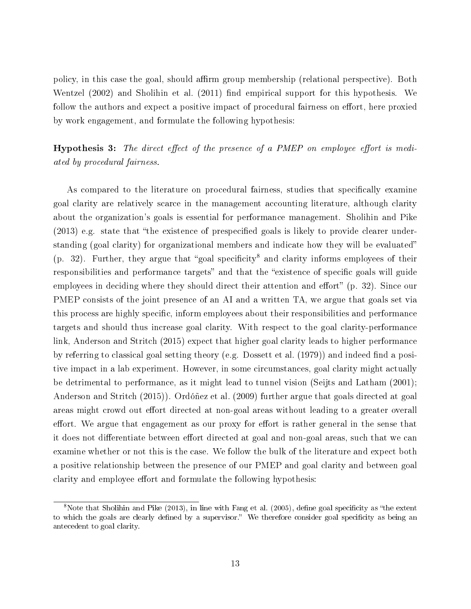policy, in this case the goal, should affirm group membership (relational perspective). Both Wentzel  $(2002)$  and Sholihin et al.  $(2011)$  find empirical support for this hypothesis. We follow the authors and expect a positive impact of procedural fairness on effort, here proxied by work engagement, and formulate the following hypothesis:

**Hypothesis 3:** The direct effect of the presence of a PMEP on employee effort is mediated by procedural fairness.

As compared to the literature on procedural fairness, studies that specifically examine goal clarity are relatively scarce in the management accounting literature, although clarity about the organization's goals is essential for performance management. Sholihin and Pike  $(2013)$  e.g. state that "the existence of prespecified goals is likely to provide clearer understanding (goal clarity) for organizational members and indicate how they will be evaluated  $(p. 32)$ . Further, they argue that "goal specificity<sup>8</sup> and clarity informs employees of their responsibilities and performance targets" and that the "existence of specific goals will guide employees in deciding where they should direct their attention and effort"  $(p, 32)$ . Since our PMEP consists of the joint presence of an AI and a written TA, we argue that goals set via this process are highly specific, inform employees about their responsibilities and performance targets and should thus increase goal clarity. With respect to the goal clarity-performance link, Anderson and Stritch (2015) expect that higher goal clarity leads to higher performance by referring to classical goal setting theory (e.g. Dossett et al. (1979)) and indeed find a positive impact in a lab experiment. However, in some circumstances, goal clarity might actually be detrimental to performance, as it might lead to tunnel vision (Seijts and Latham (2001); Anderson and Stritch (2015)). Ordóñez et al. (2009) further argue that goals directed at goal areas might crowd out effort directed at non-goal areas without leading to a greater overall effort. We argue that engagement as our proxy for effort is rather general in the sense that it does not differentiate between effort directed at goal and non-goal areas, such that we can examine whether or not this is the case. We follow the bulk of the literature and expect both a positive relationship between the presence of our PMEP and goal clarity and between goal clarity and employee effort and formulate the following hypothesis:

 $8$ Note that Sholihin and Pike (2013), in line with Fang et al. (2005), define goal specificity as "the extent to which the goals are clearly defined by a supervisor." We therefore consider goal specificity as being an antecedent to goal clarity.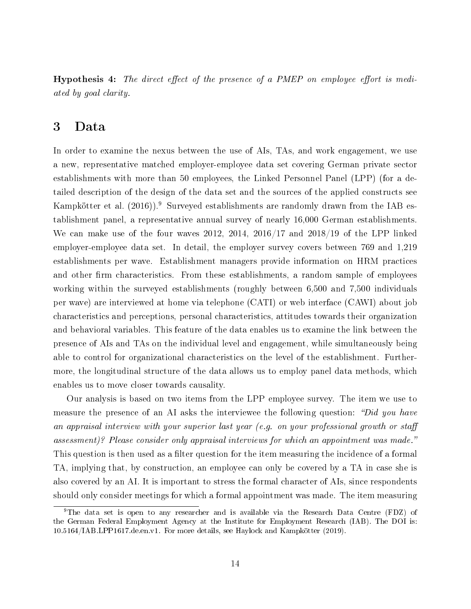**Hypothesis 4:** The direct effect of the presence of a PMEP on employee effort is mediated by goal clarity.

#### 3 Data

In order to examine the nexus between the use of AIs, TAs, and work engagement, we use a new, representative matched employer-employee data set covering German private sector establishments with more than 50 employees, the Linked Personnel Panel (LPP) (for a detailed description of the design of the data set and the sources of the applied constructs see Kampkötter et al.  $(2016)$ .<sup>9</sup> Surveyed establishments are randomly drawn from the IAB establishment panel, a representative annual survey of nearly 16,000 German establishments. We can make use of the four waves 2012, 2014, 2016/17 and 2018/19 of the LPP linked employer-employee data set. In detail, the employer survey covers between 769 and 1,219 establishments per wave. Establishment managers provide information on HRM practices and other firm characteristics. From these establishments, a random sample of employees working within the surveyed establishments (roughly between 6,500 and 7,500 individuals per wave) are interviewed at home via telephone (CATI) or web interface (CAWI) about job characteristics and perceptions, personal characteristics, attitudes towards their organization and behavioral variables. This feature of the data enables us to examine the link between the presence of AIs and TAs on the individual level and engagement, while simultaneously being able to control for organizational characteristics on the level of the establishment. Furthermore, the longitudinal structure of the data allows us to employ panel data methods, which enables us to move closer towards causality.

Our analysis is based on two items from the LPP employee survey. The item we use to measure the presence of an AI asks the interviewee the following question: "Did you have an appraisal interview with your superior last year (e.g. on your professional growth or sta assessment)? Please consider only appraisal interviews for which an appointment was made. This question is then used as a filter question for the item measuring the incidence of a formal TA, implying that, by construction, an employee can only be covered by a TA in case she is also covered by an AI. It is important to stress the formal character of AIs, since respondents should only consider meetings for which a formal appointment was made. The item measuring

<sup>9</sup>The data set is open to any researcher and is available via the Research Data Centre (FDZ) of the German Federal Employment Agency at the Institute for Employment Research (IAB). The DOI is: 10.5164/IAB.LPP1617.de.en.v1. For more details, see Haylock and Kampkötter (2019).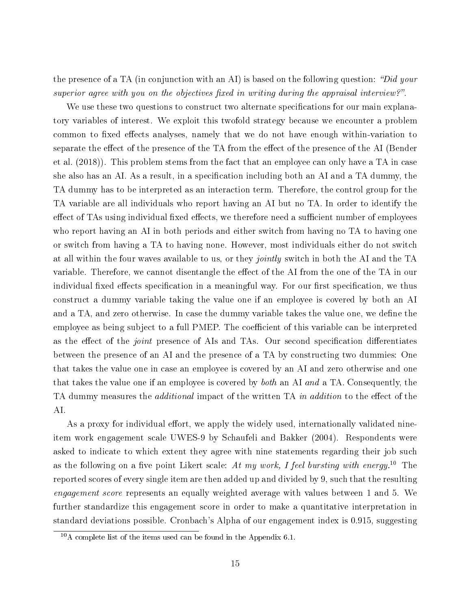the presence of a TA (in conjunction with an AI) is based on the following question: "Did your superior agree with you on the objectives fixed in writing during the appraisal interview?".

We use these two questions to construct two alternate specifications for our main explanatory variables of interest. We exploit this twofold strategy because we encounter a problem common to fixed effects analyses, namely that we do not have enough within-variation to separate the effect of the presence of the TA from the effect of the presence of the AI (Bender et al. (2018)). This problem stems from the fact that an employee can only have a TA in case she also has an AI. As a result, in a specification including both an AI and a TA dummy, the TA dummy has to be interpreted as an interaction term. Therefore, the control group for the TA variable are all individuals who report having an AI but no TA. In order to identify the effect of TAs using individual fixed effects, we therefore need a sufficient number of employees who report having an AI in both periods and either switch from having no TA to having one or switch from having a TA to having none. However, most individuals either do not switch at all within the four waves available to us, or they *jointly* switch in both the AI and the TA variable. Therefore, we cannot disentangle the effect of the AI from the one of the TA in our individual fixed effects specification in a meaningful way. For our first specification, we thus construct a dummy variable taking the value one if an employee is covered by both an AI and a TA, and zero otherwise. In case the dummy variable takes the value one, we define the employee as being subject to a full PMEP. The coefficient of this variable can be interpreted as the effect of the *joint* presence of AIs and TAs. Our second specification differentiates between the presence of an AI and the presence of a TA by constructing two dummies: One that takes the value one in case an employee is covered by an AI and zero otherwise and one that takes the value one if an employee is covered by both an AI and a TA. Consequently, the TA dummy measures the *additional* impact of the written TA in addition to the effect of the AI.

As a proxy for individual effort, we apply the widely used, internationally validated nineitem work engagement scale UWES-9 by Schaufeli and Bakker (2004). Respondents were asked to indicate to which extent they agree with nine statements regarding their job such as the following on a five point Likert scale: At my work, I feel bursting with energy.<sup>10</sup> The reported scores of every single item are then added up and divided by 9, such that the resulting engagement score represents an equally weighted average with values between 1 and 5. We further standardize this engagement score in order to make a quantitative interpretation in standard deviations possible. Cronbach's Alpha of our engagement index is 0.915, suggesting

 $10$ A complete list of the items used can be found in the Appendix 6.1.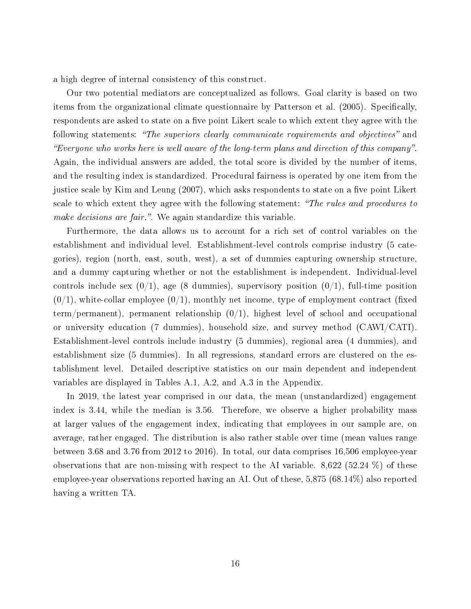a high degree of internal consistency of this construct.

Our two potential mediators are conceptualized as follows. Goal clarity is based on two items from the organizational climate questionnaire by Patterson et al. (2005). Specifically, respondents are asked to state on a five point Likert scale to which extent they agree with the following statements: "The superiors clearly communicate requirements and objectives" and Everyone who works here is well aware of the long-term plans and direction of this company . Again, the individual answers are added, the total score is divided by the number of items, and the resulting index is standardized. Procedural fairness is operated by one item from the justice scale by Kim and Leung (2007), which asks respondents to state on a five point Likert scale to which extent they agree with the following statement: "The rules and procedures to make decisions are fair.". We again standardize this variable.

Furthermore, the data allows us to account for a rich set of control variables on the establishment and individual level. Establishment-level controls comprise industry (5 categories), region (north, east, south, west), a set of dummies capturing ownership structure, and a dummy capturing whether or not the establishment is independent. Individual-level controls include sex  $(0/1)$ , age (8 dummies), supervisory position  $(0/1)$ , full-time position  $(0/1)$ , white-collar employee  $(0/1)$ , monthly net income, type of employment contract (fixed term/permanent), permanent relationship  $(0/1)$ , highest level of school and occupational or university education (7 dummies), household size, and survey method (CAWI/CATI). Establishment-level controls include industry (5 dummies), regional area (4 dummies), and establishment size (5 dummies). In all regressions, standard errors are clustered on the establishment level. Detailed descriptive statistics on our main dependent and independent variables are displayed in Tables A.1, A.2, and A.3 in the Appendix.

In 2019, the latest year comprised in our data, the mean (unstandardized) engagement index is 3.44, while the median is 3.56. Therefore, we observe a higher probability mass at larger values of the engagement index, indicating that employees in our sample are, on average, rather engaged. The distribution is also rather stable over time (mean values range between 3.68 and 3.76 from 2012 to 2016). In total, our data comprises 16,506 employee-year observations that are non-missing with respect to the AI variable. 8,622 (52.24 %) of these employee-year observations reported having an AI. Out of these, 5,875 (68.14%) also reported having a written TA.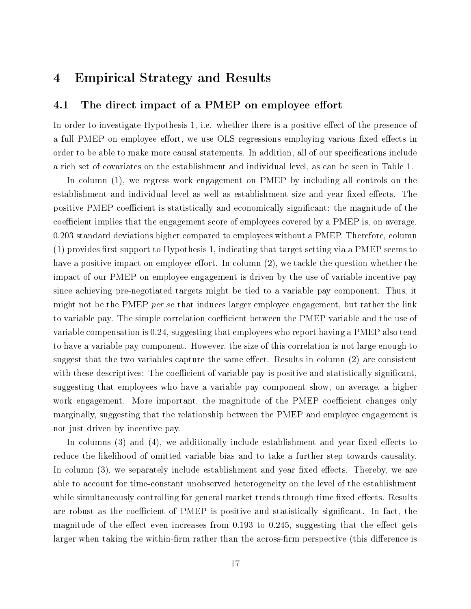#### 4 Empirical Strategy and Results

#### 4.1 The direct impact of a PMEP on employee effort

In order to investigate Hypothesis 1, i.e. whether there is a positive effect of the presence of a full PMEP on employee effort, we use OLS regressions employing various fixed effects in order to be able to make more causal statements. In addition, all of our specifications include a rich set of covariates on the establishment and individual level, as can be seen in Table 1.

In column (1), we regress work engagement on PMEP by including all controls on the establishment and individual level as well as establishment size and year fixed effects. The positive PMEP coefficient is statistically and economically significant: the magnitude of the coefficient implies that the engagement score of employees covered by a PMEP is, on average, 0.203 standard deviations higher compared to employees without a PMEP. Therefore, column  $(1)$  provides first support to Hypothesis 1, indicating that target setting via a PMEP seems to have a positive impact on employee effort. In column  $(2)$ , we tackle the question whether the impact of our PMEP on employee engagement is driven by the use of variable incentive pay since achieving pre-negotiated targets might be tied to a variable pay component. Thus, it might not be the PMEP *per se* that induces larger employee engagement, but rather the link to variable pay. The simple correlation coefficient between the PMEP variable and the use of variable compensation is 0.24, suggesting that employees who report having a PMEP also tend to have a variable pay component. However, the size of this correlation is not large enough to suggest that the two variables capture the same effect. Results in column  $(2)$  are consistent with these descriptives: The coefficient of variable pay is positive and statistically significant. suggesting that employees who have a variable pay component show, on average, a higher work engagement. More important, the magnitude of the PMEP coefficient changes only marginally, suggesting that the relationship between the PMEP and employee engagement is not just driven by incentive pay.

In columns  $(3)$  and  $(4)$ , we additionally include establishment and year fixed effects to reduce the likelihood of omitted variable bias and to take a further step towards causality. In column  $(3)$ , we separately include establishment and year fixed effects. Thereby, we are able to account for time-constant unobserved heterogeneity on the level of the establishment while simultaneously controlling for general market trends through time fixed effects. Results are robust as the coefficient of PMEP is positive and statistically significant. In fact, the magnitude of the effect even increases from 0.193 to 0.245, suggesting that the effect gets larger when taking the within-firm rather than the across-firm perspective (this difference is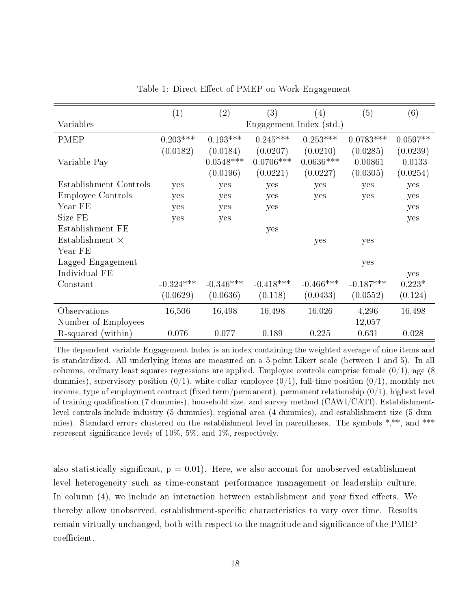|                          | (1)                     | $\left( 2\right)$ | (3)         | (4)         | (5)         | (6)        |  |
|--------------------------|-------------------------|-------------------|-------------|-------------|-------------|------------|--|
| Variables                | Engagement Index (std.) |                   |             |             |             |            |  |
| <b>PMEP</b>              | $0.203***$              | $0.193***$        | $0.245***$  | $0.253***$  | $0.0783***$ | $0.0597**$ |  |
|                          | (0.0182)                | (0.0184)          | (0.0207)    | (0.0210)    | (0.0285)    | (0.0239)   |  |
| Variable Pay             |                         | $0.0548***$       | $0.0706***$ | $0.0636***$ | $-0.00861$  | $-0.0133$  |  |
|                          |                         | (0.0196)          | (0.0221)    | (0.0227)    | (0.0305)    | (0.0254)   |  |
| Establishment Controls   | yes                     | yes               | yes         | yes         | yes         | yes        |  |
| <b>Employee Controls</b> | yes                     | yes               | yes         | yes         | yes         | yes        |  |
| Year FE                  | yes                     | yes               | yes         |             |             | yes        |  |
| Size FE                  | yes                     | yes               |             |             |             | yes        |  |
| Establishment FE         |                         |                   | yes         |             |             |            |  |
| Establishment $\times$   |                         |                   |             | yes         | yes         |            |  |
| Year FE                  |                         |                   |             |             |             |            |  |
| Lagged Engagement        |                         |                   |             |             | yes         |            |  |
| Individual FE            |                         |                   |             |             |             | yes        |  |
| Constant                 | $-0.324***$             | $-0.346***$       | $-0.418***$ | $-0.466***$ | $-0.187***$ | $0.223*$   |  |
|                          | (0.0629)                | (0.0636)          | (0.118)     | (0.0433)    | (0.0552)    | (0.124)    |  |
| Observations             | 16,506                  | 16,498            | 16,498      | 16,026      | 4,296       | 16,498     |  |
| Number of Employees      |                         |                   |             |             | 12,057      |            |  |
| R-squared (within)       | 0.076                   | 0.077             | 0.189       | 0.225       | 0.631       | 0.028      |  |

Table 1: Direct Effect of PMEP on Work Engagement

The dependent variable Engagement Index is an index containing the weighted average of nine items and is standardized. All underlying items are measured on a 5-point Likert scale (between 1 and 5). In all columns, ordinary least squares regressions are applied. Employee controls comprise female  $(0/1)$ , age (8) dummies), supervisory position  $(0/1)$ , white-collar employee  $(0/1)$ , full-time position  $(0/1)$ , monthly net income, type of employment contract (fixed term/permanent), permanent relationship  $(0/1)$ , highest level of training qualification (7 dummies), household size, and survey method (CAWI/CATI). Establishmentlevel controls include industry (5 dummies), regional area (4 dummies), and establishment size (5 dummies). Standard errors clustered on the establishment level in parentheses. The symbols \*,\*\*, and \*\*\* represent significance levels of  $10\%, 5\%,$  and  $1\%$ , respectively.

also statistically significant,  $p = 0.01$ ). Here, we also account for unobserved establishment level heterogeneity such as time-constant performance management or leadership culture. In column  $(4)$ , we include an interaction between establishment and year fixed effects. We thereby allow unobserved, establishment-specific characteristics to vary over time. Results remain virtually unchanged, both with respect to the magnitude and significance of the PMEP coefficient.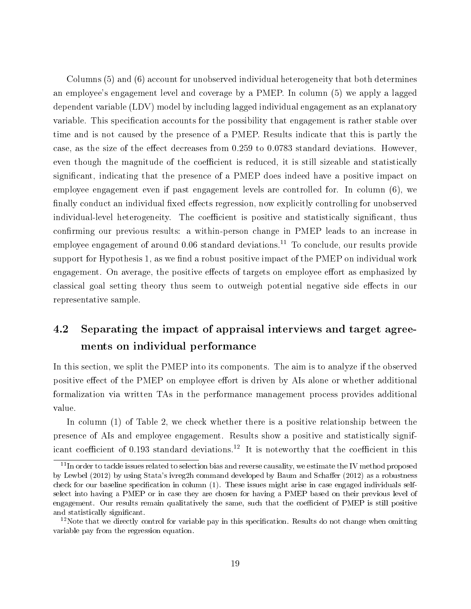Columns (5) and (6) account for unobserved individual heterogeneity that both determines an employee's engagement level and coverage by a PMEP. In column (5) we apply a lagged dependent variable (LDV) model by including lagged individual engagement as an explanatory variable. This specification accounts for the possibility that engagement is rather stable over time and is not caused by the presence of a PMEP. Results indicate that this is partly the case, as the size of the effect decreases from  $0.259$  to  $0.0783$  standard deviations. However, even though the magnitude of the coefficient is reduced, it is still sizeable and statistically signicant, indicating that the presence of a PMEP does indeed have a positive impact on employee engagement even if past engagement levels are controlled for. In column (6), we finally conduct an individual fixed effects regression, now explicitly controlling for unobserved individual-level heterogeneity. The coefficient is positive and statistically significant, thus confirming our previous results: a within-person change in PMEP leads to an increase in employee engagement of around  $0.06$  standard deviations.<sup>11</sup> To conclude, our results provide support for Hypothesis 1, as we find a robust positive impact of the PMEP on individual work engagement. On average, the positive effects of targets on employee effort as emphasized by classical goal setting theory thus seem to outweigh potential negative side effects in our representative sample.

### 4.2 Separating the impact of appraisal interviews and target agreements on individual performance

In this section, we split the PMEP into its components. The aim is to analyze if the observed positive effect of the PMEP on employee effort is driven by AIs alone or whether additional formalization via written TAs in the performance management process provides additional value.

In column (1) of Table 2, we check whether there is a positive relationship between the presence of AIs and employee engagement. Results show a positive and statistically significant coefficient of 0.193 standard deviations.<sup>12</sup> It is noteworthy that the coefficient in this

 $11$ In order to tackle issues related to selection bias and reverse causality, we estimate the IV method proposed by Lewbel (2012) by using Stata's ivreg2h command developed by Baum and Schaffer (2012) as a robustness check for our baseline specification in column  $(1)$ . These issues might arise in case engaged individuals selfselect into having a PMEP or in case they are chosen for having a PMEP based on their previous level of engagement. Our results remain qualitatively the same, such that the coefficient of PMEP is still positive and statistically significant.

 $12$ Note that we directly control for variable pay in this specification. Results do not change when omitting variable pay from the regression equation.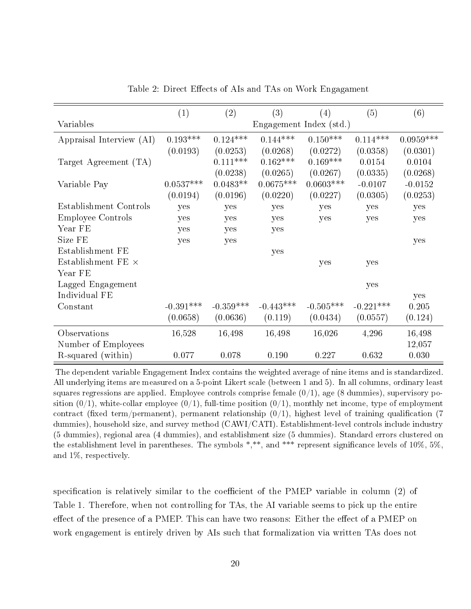|                           | (1)                     | $\left( 2\right)$ | (3)         | (4)         | (5)         | (6)         |
|---------------------------|-------------------------|-------------------|-------------|-------------|-------------|-------------|
| Variables                 | Engagement Index (std.) |                   |             |             |             |             |
| Appraisal Interview (AI)  | $0.193***$              | $0.124***$        | $0.144***$  | $0.150***$  | $0.114***$  | $0.0959***$ |
|                           | (0.0193)                | (0.0253)          | (0.0268)    | (0.0272)    | (0.0358)    | (0.0301)    |
| Target Agreement (TA)     |                         | $0.111***$        | $0.162***$  | $0.169***$  | 0.0154      | 0.0104      |
|                           |                         | (0.0238)          | (0.0265)    | (0.0267)    | (0.0335)    | (0.0268)    |
| Variable Pay              | $0.0537***$             | $0.0483**$        | $0.0675***$ | $0.0603***$ | $-0.0107$   | $-0.0152$   |
|                           | (0.0194)                | (0.0196)          | (0.0220)    | (0.0227)    | (0.0305)    | (0.0253)    |
| Establishment Controls    | yes                     | yes               | yes         | yes         | yes         | yes         |
| <b>Employee Controls</b>  | yes                     | yes               | yes         | yes         | yes         | yes         |
| Year FE                   | yes                     | yes               | yes         |             |             |             |
| Size FE                   | yes                     | yes               |             |             |             | yes         |
| Establishment FE          |                         |                   | yes         |             |             |             |
| Establishment FE $\times$ |                         |                   |             | yes         | yes         |             |
| Year FE                   |                         |                   |             |             |             |             |
| Lagged Engagement         |                         |                   |             |             | yes         |             |
| Individual FE             |                         |                   |             |             |             | yes         |
| Constant                  | $-0.391***$             | $-0.359***$       | $-0.443***$ | $-0.505***$ | $-0.221***$ | 0.205       |
|                           | (0.0658)                | (0.0636)          | (0.119)     | (0.0434)    | (0.0557)    | (0.124)     |
| Observations              | 16,528                  | 16,498            | 16,498      | 16,026      | 4,296       | 16,498      |
| Number of Employees       |                         |                   |             |             |             | 12,057      |
| R-squared (within)        | 0.077                   | 0.078             | 0.190       | 0.227       | 0.632       | 0.030       |

Table 2: Direct Effects of AIs and TAs on Work Engagament

The dependent variable Engagement Index contains the weighted average of nine items and is standardized. All underlying items are measured on a 5-point Likert scale (between 1 and 5). In all columns, ordinary least squares regressions are applied. Employee controls comprise female  $(0/1)$ , age  $(8 \text{ dummies})$ , supervisory position  $(0/1)$ , white-collar employee  $(0/1)$ , full-time position  $(0/1)$ , monthly net income, type of employment contract (fixed term/permanent), permanent relationship  $(0/1)$ , highest level of training qualification (7) dummies), household size, and survey method (CAWI/CATI). Establishment-level controls include industry (5 dummies), regional area (4 dummies), and establishment size (5 dummies). Standard errors clustered on the establishment level in parentheses. The symbols \*,\*\*, and \*\*\* represent signicance levels of 10%, 5%, and 1%, respectively.

specification is relatively similar to the coefficient of the PMEP variable in column  $(2)$  of Table 1. Therefore, when not controlling for TAs, the AI variable seems to pick up the entire effect of the presence of a PMEP. This can have two reasons: Either the effect of a PMEP on work engagement is entirely driven by AIs such that formalization via written TAs does not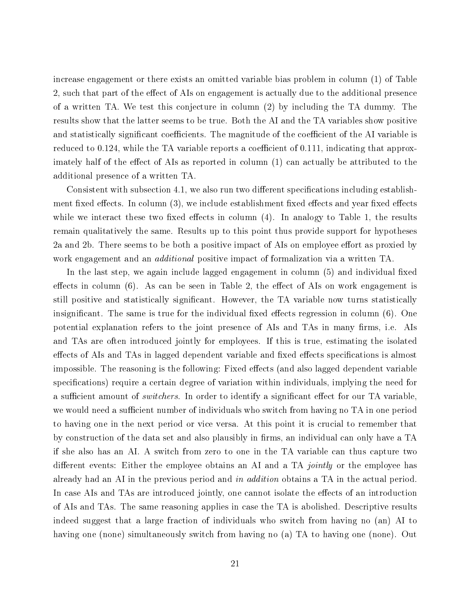increase engagement or there exists an omitted variable bias problem in column (1) of Table 2, such that part of the effect of AIs on engagement is actually due to the additional presence of a written TA. We test this conjecture in column (2) by including the TA dummy. The results show that the latter seems to be true. Both the AI and the TA variables show positive and statistically significant coefficients. The magnitude of the coefficient of the AI variable is reduced to 0.124, while the TA variable reports a coefficient of 0.111, indicating that approximately half of the effect of AIs as reported in column  $(1)$  can actually be attributed to the additional presence of a written TA.

Consistent with subsection 4.1, we also run two different specifications including establishment fixed effects. In column  $(3)$ , we include establishment fixed effects and year fixed effects while we interact these two fixed effects in column  $(4)$ . In analogy to Table 1, the results remain qualitatively the same. Results up to this point thus provide support for hypotheses 2a and 2b. There seems to be both a positive impact of AIs on employee effort as proxied by work engagement and an *additional* positive impact of formalization via a written TA.

In the last step, we again include lagged engagement in column  $(5)$  and individual fixed effects in column  $(6)$ . As can be seen in Table 2, the effect of AIs on work engagement is still positive and statistically signicant. However, the TA variable now turns statistically insignificant. The same is true for the individual fixed effects regression in column  $(6)$ . One potential explanation refers to the joint presence of AIs and TAs in many firms, i.e. AIs and TAs are often introduced jointly for employees. If this is true, estimating the isolated effects of AIs and TAs in lagged dependent variable and fixed effects specifications is almost impossible. The reasoning is the following: Fixed effects (and also lagged dependent variable specifications) require a certain degree of variation within individuals, implying the need for a sufficient amount of *switchers*. In order to identify a significant effect for our TA variable, we would need a sufficient number of individuals who switch from having no TA in one period to having one in the next period or vice versa. At this point it is crucial to remember that by construction of the data set and also plausibly in firms, an individual can only have a TA if she also has an AI. A switch from zero to one in the TA variable can thus capture two different events: Either the employee obtains an AI and a TA *jointly* or the employee has already had an AI in the previous period and in addition obtains a TA in the actual period. In case AIs and TAs are introduced jointly, one cannot isolate the effects of an introduction of AIs and TAs. The same reasoning applies in case the TA is abolished. Descriptive results indeed suggest that a large fraction of individuals who switch from having no (an) AI to having one (none) simultaneously switch from having no (a) TA to having one (none). Out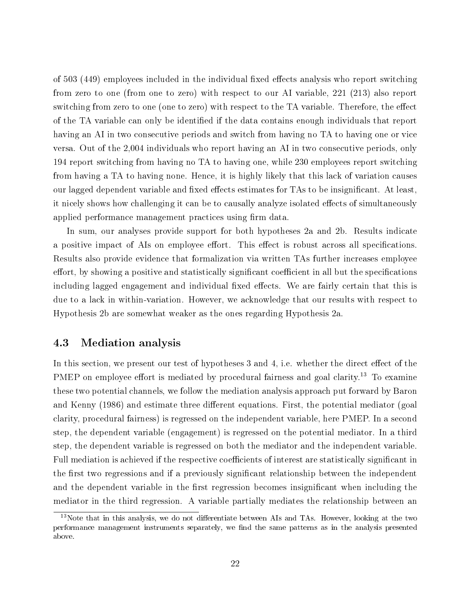of 503 (449) employees included in the individual fixed effects analysis who report switching from zero to one (from one to zero) with respect to our AI variable, 221 (213) also report switching from zero to one (one to zero) with respect to the TA variable. Therefore, the effect of the TA variable can only be identified if the data contains enough individuals that report having an AI in two consecutive periods and switch from having no TA to having one or vice versa. Out of the 2,004 individuals who report having an AI in two consecutive periods, only 194 report switching from having no TA to having one, while 230 employees report switching from having a TA to having none. Hence, it is highly likely that this lack of variation causes our lagged dependent variable and fixed effects estimates for TAs to be insignificant. At least, it nicely shows how challenging it can be to causally analyze isolated effects of simultaneously applied performance management practices using firm data.

In sum, our analyses provide support for both hypotheses 2a and 2b. Results indicate a positive impact of AIs on employee effort. This effect is robust across all specifications. Results also provide evidence that formalization via written TAs further increases employee effort, by showing a positive and statistically significant coefficient in all but the specifications including lagged engagement and individual fixed effects. We are fairly certain that this is due to a lack in within-variation. However, we acknowledge that our results with respect to Hypothesis 2b are somewhat weaker as the ones regarding Hypothesis 2a.

#### 4.3 Mediation analysis

In this section, we present our test of hypotheses  $3$  and  $4$ , i.e. whether the direct effect of the PMEP on employee effort is mediated by procedural fairness and goal clarity.<sup>13</sup> To examine these two potential channels, we follow the mediation analysis approach put forward by Baron and Kenny (1986) and estimate three different equations. First, the potential mediator (goal clarity, procedural fairness) is regressed on the independent variable, here PMEP. In a second step, the dependent variable (engagement) is regressed on the potential mediator. In a third step, the dependent variable is regressed on both the mediator and the independent variable. Full mediation is achieved if the respective coefficients of interest are statistically significant in the first two regressions and if a previously significant relationship between the independent and the dependent variable in the first regression becomes insignificant when including the mediator in the third regression. A variable partially mediates the relationship between an

 $13$ Note that in this analysis, we do not differentiate between AIs and TAs. However, looking at the two performance management instruments separately, we find the same patterns as in the analysis presented above.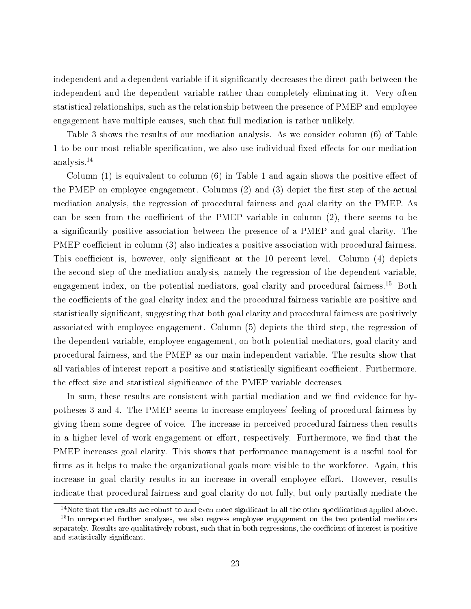independent and a dependent variable if it significantly decreases the direct path between the independent and the dependent variable rather than completely eliminating it. Very often statistical relationships, such as the relationship between the presence of PMEP and employee engagement have multiple causes, such that full mediation is rather unlikely.

Table 3 shows the results of our mediation analysis. As we consider column (6) of Table 1 to be our most reliable specification, we also use individual fixed effects for our mediation analysis.<sup>14</sup>

Column  $(1)$  is equivalent to column  $(6)$  in Table 1 and again shows the positive effect of the PMEP on employee engagement. Columns  $(2)$  and  $(3)$  depict the first step of the actual mediation analysis, the regression of procedural fairness and goal clarity on the PMEP. As can be seen from the coefficient of the PMEP variable in column  $(2)$ , there seems to be a signicantly positive association between the presence of a PMEP and goal clarity. The PMEP coefficient in column (3) also indicates a positive association with procedural fairness. This coefficient is, however, only significant at the 10 percent level. Column (4) depicts the second step of the mediation analysis, namely the regression of the dependent variable, engagement index, on the potential mediators, goal clarity and procedural fairness.<sup>15</sup> Both the coefficients of the goal clarity index and the procedural fairness variable are positive and statistically signicant, suggesting that both goal clarity and procedural fairness are positively associated with employee engagement. Column (5) depicts the third step, the regression of the dependent variable, employee engagement, on both potential mediators, goal clarity and procedural fairness, and the PMEP as our main independent variable. The results show that all variables of interest report a positive and statistically significant coefficient. Furthermore, the effect size and statistical significance of the PMEP variable decreases.

In sum, these results are consistent with partial mediation and we find evidence for hypotheses 3 and 4. The PMEP seems to increase employees' feeling of procedural fairness by giving them some degree of voice. The increase in perceived procedural fairness then results in a higher level of work engagement or effort, respectively. Furthermore, we find that the PMEP increases goal clarity. This shows that performance management is a useful tool for firms as it helps to make the organizational goals more visible to the workforce. Again, this increase in goal clarity results in an increase in overall employee effort. However, results indicate that procedural fairness and goal clarity do not fully, but only partially mediate the

 $14$ Note that the results are robust to and even more significant in all the other specifications applied above.

<sup>&</sup>lt;sup>15</sup>In unreported further analyses, we also regress employee engagement on the two potential mediators separately. Results are qualitatively robust, such that in both regressions, the coefficient of interest is positive and statistically signicant.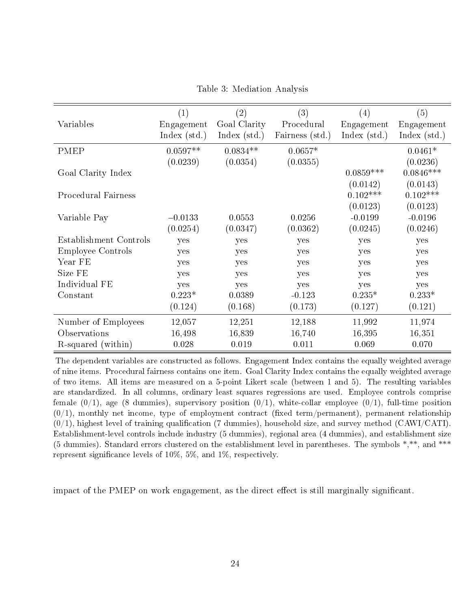|                            | $\left( 1\right)$ | $\left( 2\right)$ | (3)             | $\left( 4\right)$ | (5)          |
|----------------------------|-------------------|-------------------|-----------------|-------------------|--------------|
| Variables                  | Engagement        | Goal Clarity      | Procedural      | Engagement        | Engagement   |
|                            | Index $(std.)$    | Index $(std.)$    | Fairness (std.) | Index $(std.)$    | Index (std.) |
| <b>PMEP</b>                | $0.0597**$        | $0.0834**$        | $0.0657*$       |                   | $0.0461*$    |
|                            | (0.0239)          | (0.0354)          | (0.0355)        |                   | (0.0236)     |
| Goal Clarity Index         |                   |                   |                 | $0.0859***$       | $0.0846***$  |
|                            |                   |                   |                 | (0.0142)          | (0.0143)     |
| <b>Procedural Fairness</b> |                   |                   |                 | $0.102***$        | $0.102***$   |
|                            |                   |                   |                 | (0.0123)          | (0.0123)     |
| Variable Pay               | $-0.0133$         | 0.0553            | 0.0256          | $-0.0199$         | $-0.0196$    |
|                            | (0.0254)          | (0.0347)          | (0.0362)        | (0.0245)          | (0.0246)     |
| Establishment Controls     | yes               | yes               | yes             | yes               | yes          |
| <b>Employee Controls</b>   | yes               | yes               | yes             | yes               | yes          |
| Year FE                    | yes               | yes               | yes             | yes               | yes          |
| Size FE                    | yes               | yes               | yes             | yes               | yes          |
| Individual FE              | yes               | yes               | yes             | yes               | yes          |
| Constant                   | $0.223*$          | 0.0389            | $-0.123$        | $0.235*$          | $0.233*$     |
|                            | (0.124)           | (0.168)           | (0.173)         | (0.127)           | (0.121)      |
| Number of Employees        | 12,057            | 12,251            | 12,188          | 11,992            | 11,974       |
| Observations               | 16,498            | 16,839            | 16,740          | 16,395            | 16,351       |
| R-squared (within)         | 0.028             | 0.019             | 0.011           | 0.069             | 0.070        |

Table 3: Mediation Analysis

The dependent variables are constructed as follows. Engagement Index contains the equally weighted average of nine items. Procedural fairness contains one item. Goal Clarity Index contains the equally weighted average of two items. All items are measured on a 5-point Likert scale (between 1 and 5). The resulting variables are standardized. In all columns, ordinary least squares regressions are used. Employee controls comprise female  $(0/1)$ , age (8 dummies), supervisory position  $(0/1)$ , white-collar employee  $(0/1)$ , full-time position  $(0/1)$ , monthly net income, type of employment contract (fixed term/permanent), permanent relationship  $(0/1)$ , highest level of training qualification (7 dummies), household size, and survey method (CAWI/CATI). Establishment-level controls include industry (5 dummies), regional area (4 dummies), and establishment size (5 dummies). Standard errors clustered on the establishment level in parentheses. The symbols \*,\*\*, and \*\*\* represent significance levels of  $10\%, 5\%,$  and  $1\%$ , respectively.

impact of the PMEP on work engagement, as the direct effect is still marginally significant.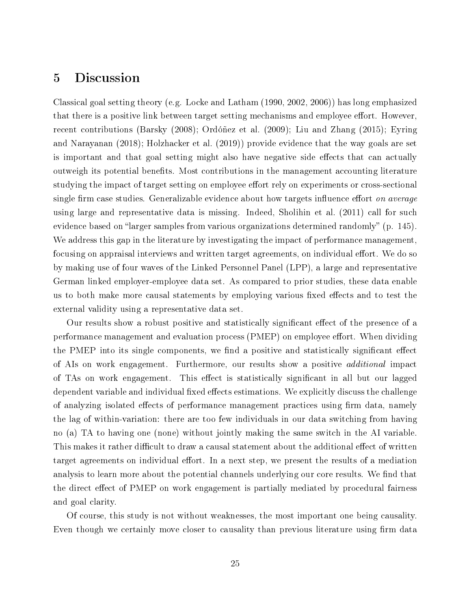### 5 Discussion

Classical goal setting theory (e.g. Locke and Latham (1990, 2002, 2006)) has long emphasized that there is a positive link between target setting mechanisms and employee effort. However, recent contributions (Barsky (2008); Ordóñez et al. (2009); Liu and Zhang (2015); Eyring and Narayanan (2018); Holzhacker et al. (2019)) provide evidence that the way goals are set is important and that goal setting might also have negative side effects that can actually outweigh its potential benefits. Most contributions in the management accounting literature studying the impact of target setting on employee effort rely on experiments or cross-sectional single firm case studies. Generalizable evidence about how targets influence effort on average using large and representative data is missing. Indeed, Sholihin et al. (2011) call for such evidence based on "larger samples from various organizations determined randomly" (p. 145). We address this gap in the literature by investigating the impact of performance management. focusing on appraisal interviews and written target agreements, on individual effort. We do so by making use of four waves of the Linked Personnel Panel (LPP), a large and representative German linked employer-employee data set. As compared to prior studies, these data enable us to both make more causal statements by employing various fixed effects and to test the external validity using a representative data set.

Our results show a robust positive and statistically significant effect of the presence of a performance management and evaluation process (PMEP) on employee effort. When dividing the PMEP into its single components, we find a positive and statistically significant effect of AIs on work engagement. Furthermore, our results show a positive additional impact of TAs on work engagement. This effect is statistically significant in all but our lagged dependent variable and individual fixed effects estimations. We explicitly discuss the challenge of analyzing isolated effects of performance management practices using firm data, namely the lag of within-variation: there are too few individuals in our data switching from having no (a) TA to having one (none) without jointly making the same switch in the AI variable. This makes it rather difficult to draw a causal statement about the additional effect of written target agreements on individual effort. In a next step, we present the results of a mediation analysis to learn more about the potential channels underlying our core results. We find that the direct effect of PMEP on work engagement is partially mediated by procedural fairness and goal clarity.

Of course, this study is not without weaknesses, the most important one being causality. Even though we certainly move closer to causality than previous literature using firm data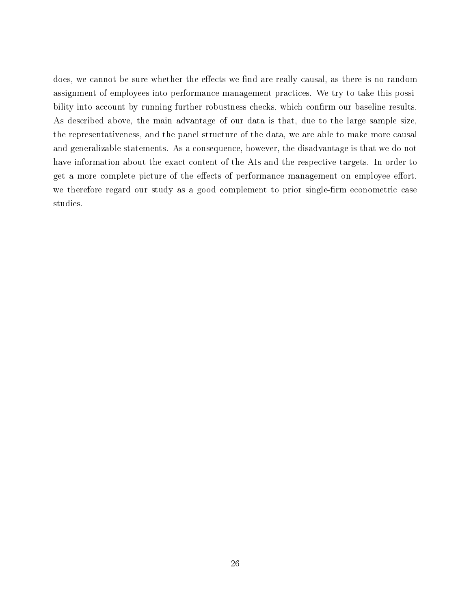does, we cannot be sure whether the effects we find are really causal, as there is no random assignment of employees into performance management practices. We try to take this possibility into account by running further robustness checks, which confirm our baseline results. As described above, the main advantage of our data is that, due to the large sample size, the representativeness, and the panel structure of the data, we are able to make more causal and generalizable statements. As a consequence, however, the disadvantage is that we do not have information about the exact content of the AIs and the respective targets. In order to get a more complete picture of the effects of performance management on employee effort, we therefore regard our study as a good complement to prior single-firm econometric case studies.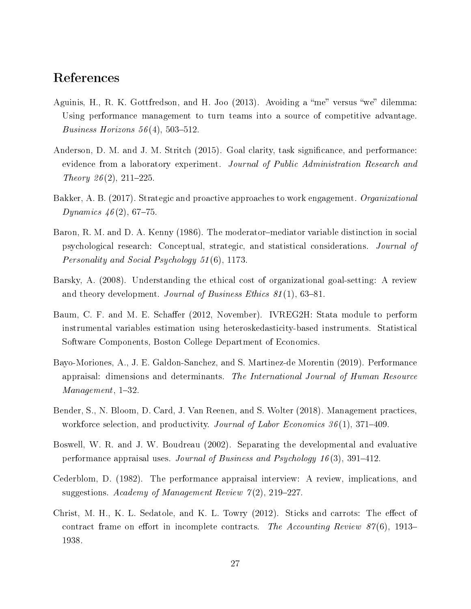### References

- Aguinis, H., R. K. Gottfredson, and H. Joo  $(2013)$ . Avoiding a "me" versus "we" dilemma: Using performance management to turn teams into a source of competitive advantage. Business Horizons  $56(4)$ , 503-512.
- Anderson, D. M. and J. M. Stritch (2015). Goal clarity, task significance, and performance: evidence from a laboratory experiment. Journal of Public Administration Research and Theory 26(2), 211-225.
- Bakker, A. B. (2017). Strategic and proactive approaches to work engagement. Organizational Dynamics  $46(2)$ , 67-75.
- Baron, R. M. and D. A. Kenny (1986). The moderator-mediator variable distinction in social psychological research: Conceptual, strategic, and statistical considerations. Journal of Personality and Social Psychology 51 (6), 1173.
- Barsky, A. (2008). Understanding the ethical cost of organizational goal-setting: A review and theory development. Journal of Business Ethics  $81(1)$ , 63-81.
- Baum, C. F. and M. E. Schaffer (2012, November). IVREG2H: Stata module to perform instrumental variables estimation using heteroskedasticity-based instruments. Statistical Software Components, Boston College Department of Economics.
- Bayo-Moriones, A., J. E. Galdon-Sanchez, and S. Martinez-de Morentin (2019). Performance appraisal: dimensions and determinants. The International Journal of Human Resource Management, 1-32.
- Bender, S., N. Bloom, D. Card, J. Van Reenen, and S. Wolter (2018). Management practices, workforce selection, and productivity. Journal of Labor Economics  $36(1)$ , 371–409.
- Boswell, W. R. and J. W. Boudreau (2002). Separating the developmental and evaluative performance appraisal uses. Journal of Business and Psychology 16(3), 391–412.
- Cederblom, D. (1982). The performance appraisal interview: A review, implications, and suggestions. Academy of Management Review  $7(2)$ , 219–227.
- Christ, M. H., K. L. Sedatole, and K. L. Towry  $(2012)$ . Sticks and carrots: The effect of contract frame on effort in incomplete contracts. The Accounting Review 87(6), 1913– 1938.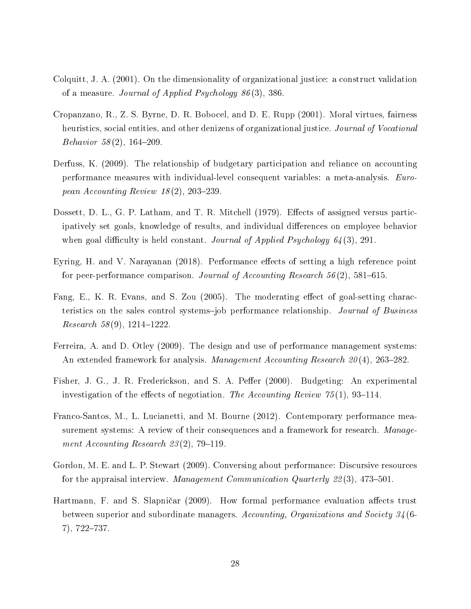- Colquitt, J. A. (2001). On the dimensionality of organizational justice: a construct validation of a measure. Journal of Applied Psychology 86 (3), 386.
- Cropanzano, R., Z. S. Byrne, D. R. Bobocel, and D. E. Rupp (2001). Moral virtues, fairness heuristics, social entities, and other denizens of organizational justice. *Journal of Vocational* Behavior  $58(2)$ , 164-209.
- Derfuss, K. (2009). The relationship of budgetary participation and reliance on accounting performance measures with individual-level consequent variables: a meta-analysis. European Accounting Review  $18(2)$ , 203-239.
- Dossett, D. L., G. P. Latham, and T. R. Mitchell (1979). Effects of assigned versus participatively set goals, knowledge of results, and individual differences on employee behavior when goal difficulty is held constant. Journal of Applied Psychology  $64(3)$ , 291.
- Eyring, H. and V. Narayanan (2018). Performance effects of setting a high reference point for peer-performance comparison. Journal of Accounting Research  $56(2)$ , 581–615.
- Fang, E., K. R. Evans, and S. Zou (2005). The moderating effect of goal-setting characteristics on the sales control systems-job performance relationship. Journal of Business  $Research 58(9), 1214-1222.$
- Ferreira, A. and D. Otley (2009). The design and use of performance management systems: An extended framework for analysis. *Management Accounting Research*  $20(4)$ , 263–282.
- Fisher, J. G., J. R. Frederickson, and S. A. Peffer (2000). Budgeting: An experimental investigation of the effects of negotiation. The Accounting Review  $75(1)$ , 93-114.
- Franco-Santos, M., L. Lucianetti, and M. Bourne (2012). Contemporary performance measurement systems: A review of their consequences and a framework for research. Management Accounting Research  $23(2)$ , 79-119.
- Gordon, M. E. and L. P. Stewart (2009). Conversing about performance: Discursive resources for the appraisal interview. Management Communication Quarterly  $22(3)$ , 473-501.
- Hartmann, F. and S. Slapničar (2009). How formal performance evaluation affects trust between superior and subordinate managers. Accounting, Organizations and Society 34 (6-  $7)$ ,  $722-737$ .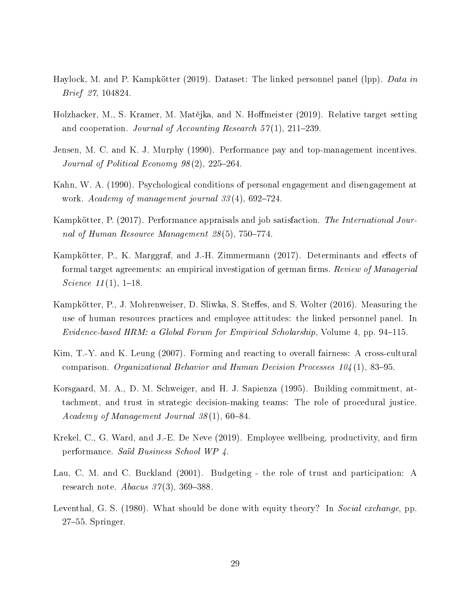- Haylock, M. and P. Kampkötter (2019). Dataset: The linked personnel panel (lpp). *Data in* Brief 27, 104824.
- Holzhacker, M., S. Kramer, M. Matějka, and N. Hoffmeister (2019). Relative target setting and cooperation. Journal of Accounting Research  $57(1)$ ,  $211-239$ .
- Jensen, M. C. and K. J. Murphy (1990). Performance pay and top-management incentives. Journal of Political Economy  $98(2)$ ,  $225-264$ .
- Kahn, W. A. (1990). Psychological conditions of personal engagement and disengagement at work. Academy of management journal  $33(4)$ , 692-724.
- Kampkötter, P. (2017). Performance appraisals and job satisfaction. The International Journal of Human Resource Management  $28(5)$ , 750-774.
- Kampkötter, P., K. Marggraf, and J.-H. Zimmermann (2017). Determinants and effects of formal target agreements: an empirical investigation of german firms. Review of Managerial Science  $11(1)$ , 1-18.
- Kampkötter, P., J. Mohrenweiser, D. Sliwka, S. Steffes, and S. Wolter (2016). Measuring the use of human resources practices and employee attitudes: the linked personnel panel. In Evidence-based HRM: a Global Forum for Empirical Scholarship, Volume 4, pp. 94-115.
- Kim, T.-Y. and K. Leung (2007). Forming and reacting to overall fairness: A cross-cultural comparison. Organizational Behavior and Human Decision Processes  $104(1)$ , 83–95.
- Korsgaard, M. A., D. M. Schweiger, and H. J. Sapienza (1995). Building commitment, attachment, and trust in strategic decision-making teams: The role of procedural justice.  $\textit{Academy of Management Journal } 38(1), 60-84.$
- Krekel, C., G. Ward, and J.-E. De Neve (2019). Employee wellbeing, productivity, and firm performance. Saïd Business School WP 4.
- Lau, C. M. and C. Buckland (2001). Budgeting the role of trust and participation: A research note. Abacus  $37(3)$ ,  $369-388$ .
- Leventhal, G. S. (1980). What should be done with equity theory? In Social exchange, pp.  $27-55$ . Springer.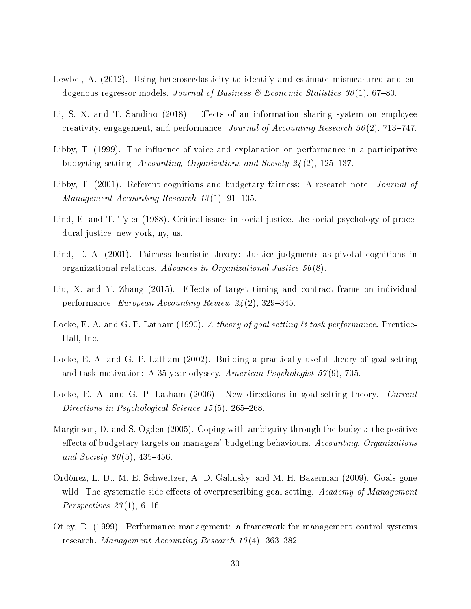- Lewbel, A. (2012). Using heteroscedasticity to identify and estimate mismeasured and endogenous regressor models. Journal of Business & Economic Statistics  $30(1)$ , 67–80.
- Li, S. X. and T. Sandino (2018). Effects of an information sharing system on employee creativity, engagement, and performance. Journal of Accounting Research 56(2), 713-747.
- Libby, T. (1999). The influence of voice and explanation on performance in a participative budgeting setting. Accounting, Organizations and Society  $24(2)$ , 125–137.
- Libby, T. (2001). Referent cognitions and budgetary fairness: A research note. *Journal of*  $Management~Accounting~Research~13(1), 91-105.$
- Lind, E. and T. Tyler (1988). Critical issues in social justice, the social psychology of procedural justice. new york, ny, us.
- Lind, E. A. (2001). Fairness heuristic theory: Justice judgments as pivotal cognitions in organizational relations. Advances in Organizational Justice 56 (8).
- Liu, X. and Y. Zhang (2015). Effects of target timing and contract frame on individual performance. European Accounting Review  $24(2)$ , 329-345.
- Locke, E. A. and G. P. Latham (1990). A theory of goal setting  $\mathcal{C}$  task performance. Prentice-Hall, Inc.
- Locke, E. A. and G. P. Latham (2002). Building a practically useful theory of goal setting and task motivation: A 35-year odyssey. American Psychologist 57(9), 705.
- Locke, E. A. and G. P. Latham (2006). New directions in goal-setting theory. Current Directions in Psychological Science  $15(5)$ , 265-268.
- Marginson, D. and S. Ogden (2005). Coping with ambiguity through the budget: the positive effects of budgetary targets on managers' budgeting behaviours. Accounting, Organizations and Society  $30(5)$ , 435-456.
- Ordóñez, L. D., M. E. Schweitzer, A. D. Galinsky, and M. H. Bazerman (2009). Goals gone wild: The systematic side effects of overprescribing goal setting.  $Academy$  of Management Perspectives  $23(1)$ , 6-16.
- Otley, D. (1999). Performance management: a framework for management control systems research. Management Accounting Research  $10(4)$ , 363–382.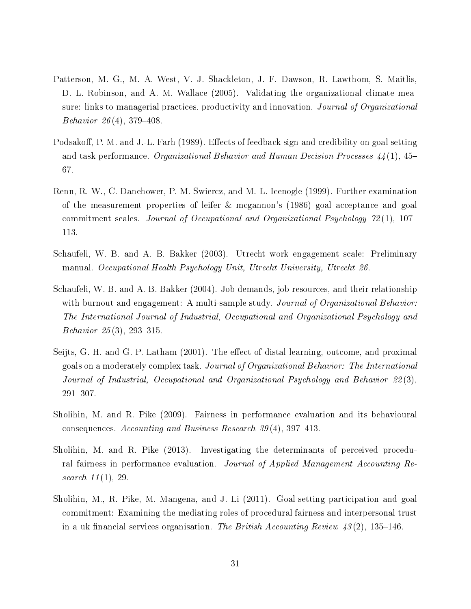- Patterson, M. G., M. A. West, V. J. Shackleton, J. F. Dawson, R. Lawthom, S. Maitlis, D. L. Robinson, and A. M. Wallace (2005). Validating the organizational climate measure: links to managerial practices, productivity and innovation. Journal of Organizational Behavior  $26(4)$ , 379-408.
- Podsakoff, P. M. and J.-L. Farh (1989). Effects of feedback sign and credibility on goal setting and task performance. Organizational Behavior and Human Decision Processes  $44(1)$ , 45-67.
- Renn, R. W., C. Danehower, P. M. Swiercz, and M. L. Icenogle (1999). Further examination of the measurement properties of leifer & mcgannon's (1986) goal acceptance and goal commitment scales. Journal of Occupational and Organizational Psychology  $72(1)$ , 107– 113.
- Schaufeli, W. B. and A. B. Bakker (2003). Utrecht work engagement scale: Preliminary manual. Occupational Health Psychology Unit, Utrecht University, Utrecht 26.
- Schaufeli, W. B. and A. B. Bakker (2004). Job demands, job resources, and their relationship with burnout and engagement: A multi-sample study. Journal of Organizational Behavior: The International Journal of Industrial, Occupational and Organizational Psychology and Behavior  $25(3)$ , 293-315.
- Seijts, G. H. and G. P. Latham (2001). The effect of distal learning, outcome, and proximal goals on a moderately complex task. Journal of Organizational Behavior: The International Journal of Industrial, Occupational and Organizational Psychology and Behavior 22 (3), 291307.
- Sholihin, M. and R. Pike (2009). Fairness in performance evaluation and its behavioural consequences. Accounting and Business Research  $39(4)$ , 397-413.
- Sholihin, M. and R. Pike (2013). Investigating the determinants of perceived procedural fairness in performance evaluation. Journal of Applied Management Accounting Research 11(1), 29.
- Sholihin, M., R. Pike, M. Mangena, and J. Li (2011). Goal-setting participation and goal commitment: Examining the mediating roles of procedural fairness and interpersonal trust in a uk financial services organisation. The British Accounting Review  $43(2)$ , 135–146.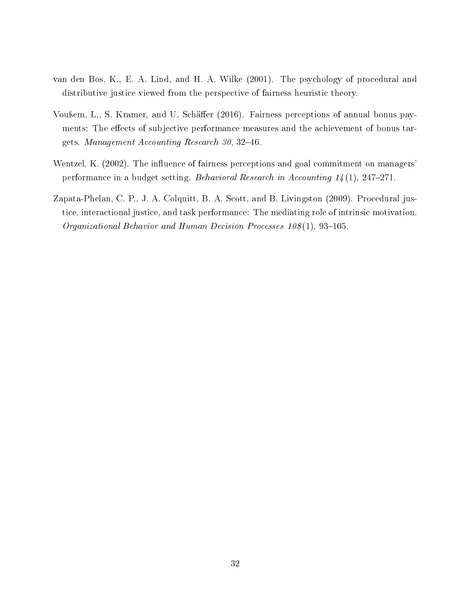- van den Bos, K., E. A. Lind, and H. A. Wilke (2001). The psychology of procedural and distributive justice viewed from the perspective of fairness heuristic theory.
- Vou<sub>ßem</sub>, L., S. Kramer, and U. Schäffer (2016). Fairness perceptions of annual bonus payments: The effects of subjective performance measures and the achievement of bonus targets. Management Accounting Research 30, 32-46.
- Wentzel, K. (2002). The influence of fairness perceptions and goal commitment on managers' performance in a budget setting. Behavioral Research in Accounting  $1/4(1)$ , 247-271.
- Zapata-Phelan, C. P., J. A. Colquitt, B. A. Scott, and B. Livingston (2009). Procedural justice, interactional justice, and task performance: The mediating role of intrinsic motivation. Organizational Behavior and Human Decision Processes  $108(1)$ , 93-105.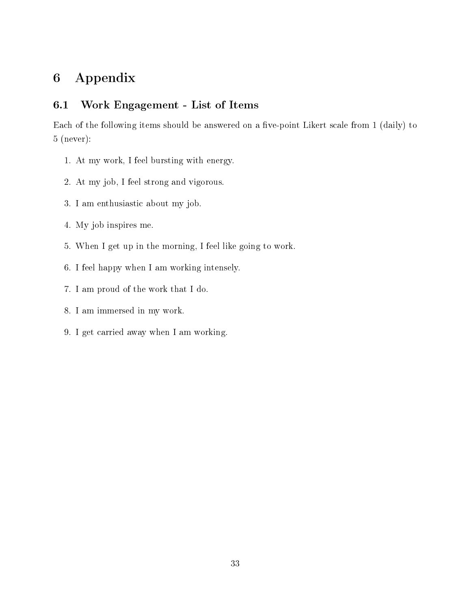## 6 Appendix

#### 6.1 Work Engagement - List of Items

Each of the following items should be answered on a five-point Likert scale from 1 (daily) to 5 (never):

- 1. At my work, I feel bursting with energy.
- 2. At my job, I feel strong and vigorous.
- 3. I am enthusiastic about my job.
- 4. My job inspires me.
- 5. When I get up in the morning, I feel like going to work.
- 6. I feel happy when I am working intensely.
- 7. I am proud of the work that I do.
- 8. I am immersed in my work.
- 9. I get carried away when I am working.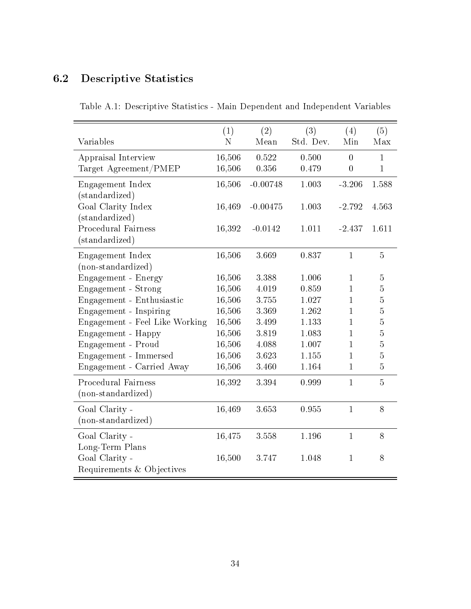## 6.2 Descriptive Statistics

| Variables                                        | (1)<br>N         | (2)<br>Mean    | (3)<br>Std. Dev. | (4)<br>Min                         | (5)<br>Max        |
|--------------------------------------------------|------------------|----------------|------------------|------------------------------------|-------------------|
| Appraisal Interview<br>Target Agreement/PMEP     | 16,506<br>16,506 | 0.522<br>0.356 | 0.500<br>0.479   | $\overline{0}$<br>$\boldsymbol{0}$ | 1<br>$\mathbf{1}$ |
| Engagement Index<br>(standardized)               | 16,506           | $-0.00748$     | 1.003            | $-3.206$                           | 1.588             |
| Goal Clarity Index<br>(standardized)             | 16,469           | $-0.00475$     | 1.003            | $-2.792$                           | 4.563             |
| <b>Procedural Fairness</b><br>(standardized)     | 16,392           | $-0.0142$      | 1.011            | $-2.437$                           | 1.611             |
| Engagement Index<br>(non-standardized)           | 16,506           | 3.669          | 0.837            | $\mathbf{1}$                       | $\overline{5}$    |
| Engagement - Energy                              | 16,506           | 3.388          | 1.006            | $\mathbf{1}$                       | $\bf 5$           |
| Engagement - Strong                              | 16,506           | 4.019          | 0.859            | 1                                  | $\overline{5}$    |
| Engagement - Enthusiastic                        | 16,506           | 3.755          | 1.027            | $\mathbf{1}$                       | $\overline{5}$    |
| Engagement - Inspiring                           | 16,506           | 3.369          | 1.262            | $\mathbf{1}$                       | $\overline{5}$    |
| Engagement - Feel Like Working                   | 16,506           | 3.499          | 1.133            | $\mathbf{1}$                       | $\overline{5}$    |
| Engagement - Happy                               | 16,506           | 3.819          | 1.083            | $\mathbf{1}$                       | $\overline{5}$    |
| Engagement - Proud                               | 16,506           | 4.088          | 1.007            | $\mathbf{1}$                       | $\overline{5}$    |
| Engagement - Immersed                            | 16,506           | 3.623          | 1.155            | $\mathbf{1}$                       | $\overline{5}$    |
| Engagement - Carried Away                        | 16,506           | 3.460          | 1.164            | $\mathbf{1}$                       | $\overline{5}$    |
| <b>Procedural Fairness</b><br>(non-standardized) | 16,392           | 3.394          | 0.999            | $\mathbf{1}$                       | $\overline{5}$    |
| Goal Clarity -<br>(non-standardized)             | 16,469           | 3.653          | 0.955            | $\mathbf{1}$                       | 8                 |
| Goal Clarity -<br>Long-Term Plans                | 16,475           | 3.558          | 1.196            | $\mathbf{1}$                       | 8                 |
| Goal Clarity -<br>Requirements & Objectives      | 16,500           | 3.747          | 1.048            | $\mathbf{1}$                       | 8                 |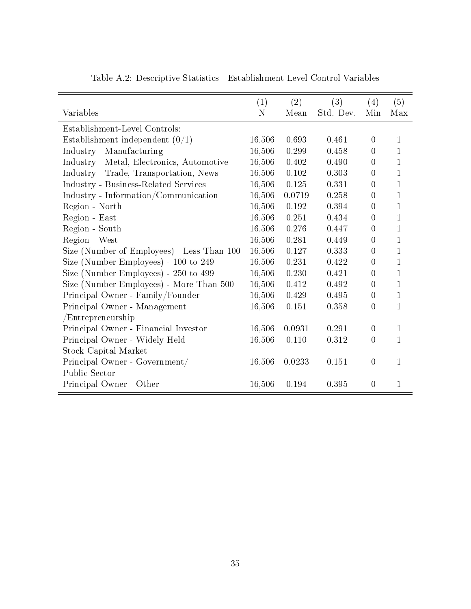|                                            | (1)    | (2)    | (3)       | (4)              | (5)          |
|--------------------------------------------|--------|--------|-----------|------------------|--------------|
| Variables                                  | N      | Mean   | Std. Dev. | Min              | Max          |
| Establishment-Level Controls:              |        |        |           |                  |              |
| Establishment independent $(0/1)$          | 16,506 | 0.693  | 0.461     | $\overline{0}$   | 1            |
| Industry - Manufacturing                   | 16,506 | 0.299  | 0.458     | $\Omega$         | 1            |
| Industry - Metal, Electronics, Automotive  | 16,506 | 0.402  | 0.490     | $\overline{0}$   | $\mathbf{1}$ |
| Industry - Trade, Transportation, News     | 16,506 | 0.102  | 0.303     | $\theta$         | $\mathbf{1}$ |
| Industry - Business-Related Services       | 16,506 | 0.125  | 0.331     | $\overline{0}$   | $\mathbf{1}$ |
| Industry - Information/Communication       | 16,506 | 0.0719 | 0.258     | $\overline{0}$   | $\mathbf{1}$ |
| Region - North                             | 16,506 | 0.192  | 0.394     | $\overline{0}$   | $\mathbf{1}$ |
| Region - East                              | 16,506 | 0.251  | 0.434     | $\boldsymbol{0}$ | $\mathbf{1}$ |
| Region - South                             | 16,506 | 0.276  | 0.447     | $\theta$         | $\mathbf{1}$ |
| Region - West                              | 16,506 | 0.281  | 0.449     | $\Omega$         | $\mathbf{1}$ |
| Size (Number of Employees) - Less Than 100 | 16,506 | 0.127  | 0.333     | $\boldsymbol{0}$ | $\mathbf{1}$ |
| Size (Number Employees) - 100 to 249       | 16,506 | 0.231  | 0.422     | $\theta$         | $\mathbf{1}$ |
| Size (Number Employees) - 250 to 499       | 16,506 | 0.230  | 0.421     | $\theta$         | $\mathbf{1}$ |
| Size (Number Employees) - More Than 500    | 16,506 | 0.412  | 0.492     | $\overline{0}$   | $\mathbf{1}$ |
| Principal Owner - Family/Founder           | 16,506 | 0.429  | 0.495     | $\overline{0}$   | $\mathbf{1}$ |
| Principal Owner - Management               | 16,506 | 0.151  | 0.358     | $\overline{0}$   | $\mathbf{1}$ |
| /Entrepreneurship                          |        |        |           |                  |              |
| Principal Owner - Financial Investor       | 16,506 | 0.0931 | 0.291     | $\overline{0}$   | $\mathbf{1}$ |
| Principal Owner - Widely Held              | 16,506 | 0.110  | 0.312     | $\boldsymbol{0}$ | $\mathbf{1}$ |
| Stock Capital Market                       |        |        |           |                  |              |
| Principal Owner - Government/              | 16,506 | 0.0233 | 0.151     | $\boldsymbol{0}$ | $\mathbf{1}$ |
| Public Sector                              |        |        |           |                  |              |
| Principal Owner - Other                    | 16,506 | 0.194  | 0.395     | $\overline{0}$   | 1            |

Table A.2: Descriptive Statistics - Establishment-Level Control Variables